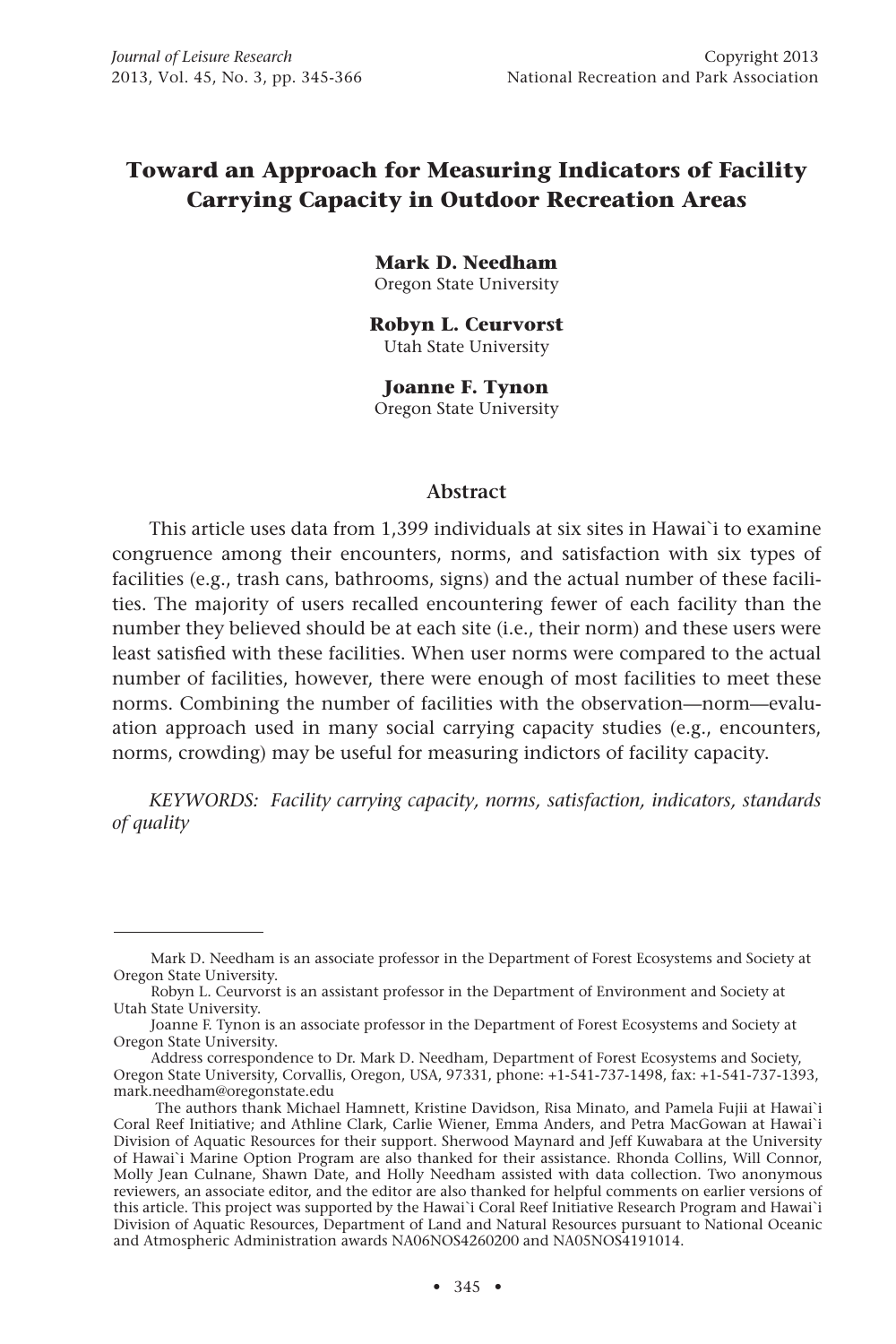# **Toward an Approach for Measuring Indicators of Facility Carrying Capacity in Outdoor Recreation Areas**

**Mark D. Needham**  Oregon State University

**Robyn L. Ceurvorst** Utah State University

**Joanne F. Tynon** Oregon State University

### **Abstract**

This article uses data from 1,399 individuals at six sites in Hawai`i to examine congruence among their encounters, norms, and satisfaction with six types of facilities (e.g., trash cans, bathrooms, signs) and the actual number of these facilities. The majority of users recalled encountering fewer of each facility than the number they believed should be at each site (i.e., their norm) and these users were least satisfied with these facilities. When user norms were compared to the actual number of facilities, however, there were enough of most facilities to meet these norms. Combining the number of facilities with the observation—norm—evaluation approach used in many social carrying capacity studies (e.g., encounters, norms, crowding) may be useful for measuring indictors of facility capacity.

*KEYWORDS: Facility carrying capacity, norms, satisfaction, indicators, standards of quality*

Mark D. Needham is an associate professor in the Department of Forest Ecosystems and Society at Oregon State University.

Robyn L. Ceurvorst is an assistant professor in the Department of Environment and Society at Utah State University.

Joanne F. Tynon is an associate professor in the Department of Forest Ecosystems and Society at Oregon State University.

Address correspondence to Dr. Mark D. Needham, Department of Forest Ecosystems and Society, Oregon State University, Corvallis, Oregon, USA, 97331, phone: +1-541-737-1498, fax: +1-541-737-1393, mark.needham@oregonstate.edu

The authors thank Michael Hamnett, Kristine Davidson, Risa Minato, and Pamela Fujii at Hawai`i Coral Reef Initiative; and Athline Clark, Carlie Wiener, Emma Anders, and Petra MacGowan at Hawai`i Division of Aquatic Resources for their support. Sherwood Maynard and Jeff Kuwabara at the University of Hawai`i Marine Option Program are also thanked for their assistance. Rhonda Collins, Will Connor, Molly Jean Culnane, Shawn Date, and Holly Needham assisted with data collection. Two anonymous reviewers, an associate editor, and the editor are also thanked for helpful comments on earlier versions of this article. This project was supported by the Hawai`i Coral Reef Initiative Research Program and Hawai`i Division of Aquatic Resources, Department of Land and Natural Resources pursuant to National Oceanic and Atmospheric Administration awards NA06NOS4260200 and NA05NOS4191014.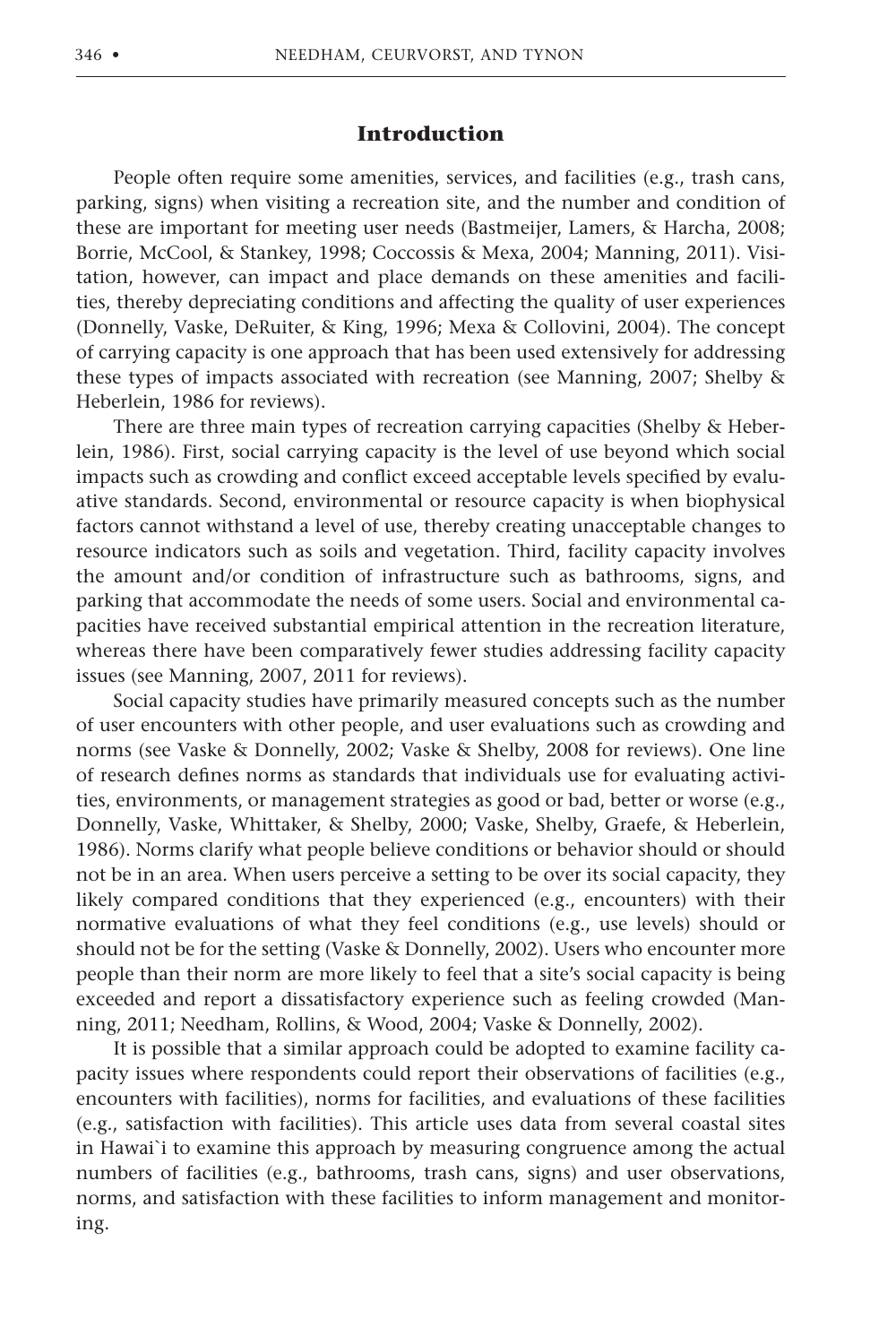### **Introduction**

People often require some amenities, services, and facilities (e.g., trash cans, parking, signs) when visiting a recreation site, and the number and condition of these are important for meeting user needs (Bastmeijer, Lamers, & Harcha, 2008; Borrie, McCool, & Stankey, 1998; Coccossis & Mexa, 2004; Manning, 2011). Visitation, however, can impact and place demands on these amenities and facilities, thereby depreciating conditions and affecting the quality of user experiences (Donnelly, Vaske, DeRuiter, & King, 1996; Mexa & Collovini, 2004). The concept of carrying capacity is one approach that has been used extensively for addressing these types of impacts associated with recreation (see Manning, 2007; Shelby & Heberlein, 1986 for reviews).

There are three main types of recreation carrying capacities (Shelby & Heberlein, 1986). First, social carrying capacity is the level of use beyond which social impacts such as crowding and conflict exceed acceptable levels specified by evaluative standards. Second, environmental or resource capacity is when biophysical factors cannot withstand a level of use, thereby creating unacceptable changes to resource indicators such as soils and vegetation. Third, facility capacity involves the amount and/or condition of infrastructure such as bathrooms, signs, and parking that accommodate the needs of some users. Social and environmental capacities have received substantial empirical attention in the recreation literature, whereas there have been comparatively fewer studies addressing facility capacity issues (see Manning, 2007, 2011 for reviews).

Social capacity studies have primarily measured concepts such as the number of user encounters with other people, and user evaluations such as crowding and norms (see Vaske & Donnelly, 2002; Vaske & Shelby, 2008 for reviews). One line of research defines norms as standards that individuals use for evaluating activities, environments, or management strategies as good or bad, better or worse (e.g., Donnelly, Vaske, Whittaker, & Shelby, 2000; Vaske, Shelby, Graefe, & Heberlein, 1986). Norms clarify what people believe conditions or behavior should or should not be in an area. When users perceive a setting to be over its social capacity, they likely compared conditions that they experienced (e.g., encounters) with their normative evaluations of what they feel conditions (e.g., use levels) should or should not be for the setting (Vaske & Donnelly, 2002). Users who encounter more people than their norm are more likely to feel that a site's social capacity is being exceeded and report a dissatisfactory experience such as feeling crowded (Manning, 2011; Needham, Rollins, & Wood, 2004; Vaske & Donnelly, 2002).

It is possible that a similar approach could be adopted to examine facility capacity issues where respondents could report their observations of facilities (e.g., encounters with facilities), norms for facilities, and evaluations of these facilities (e.g., satisfaction with facilities). This article uses data from several coastal sites in Hawai'i to examine this approach by measuring congruence among the actual numbers of facilities (e.g., bathrooms, trash cans, signs) and user observations, norms, and satisfaction with these facilities to inform management and monitoring.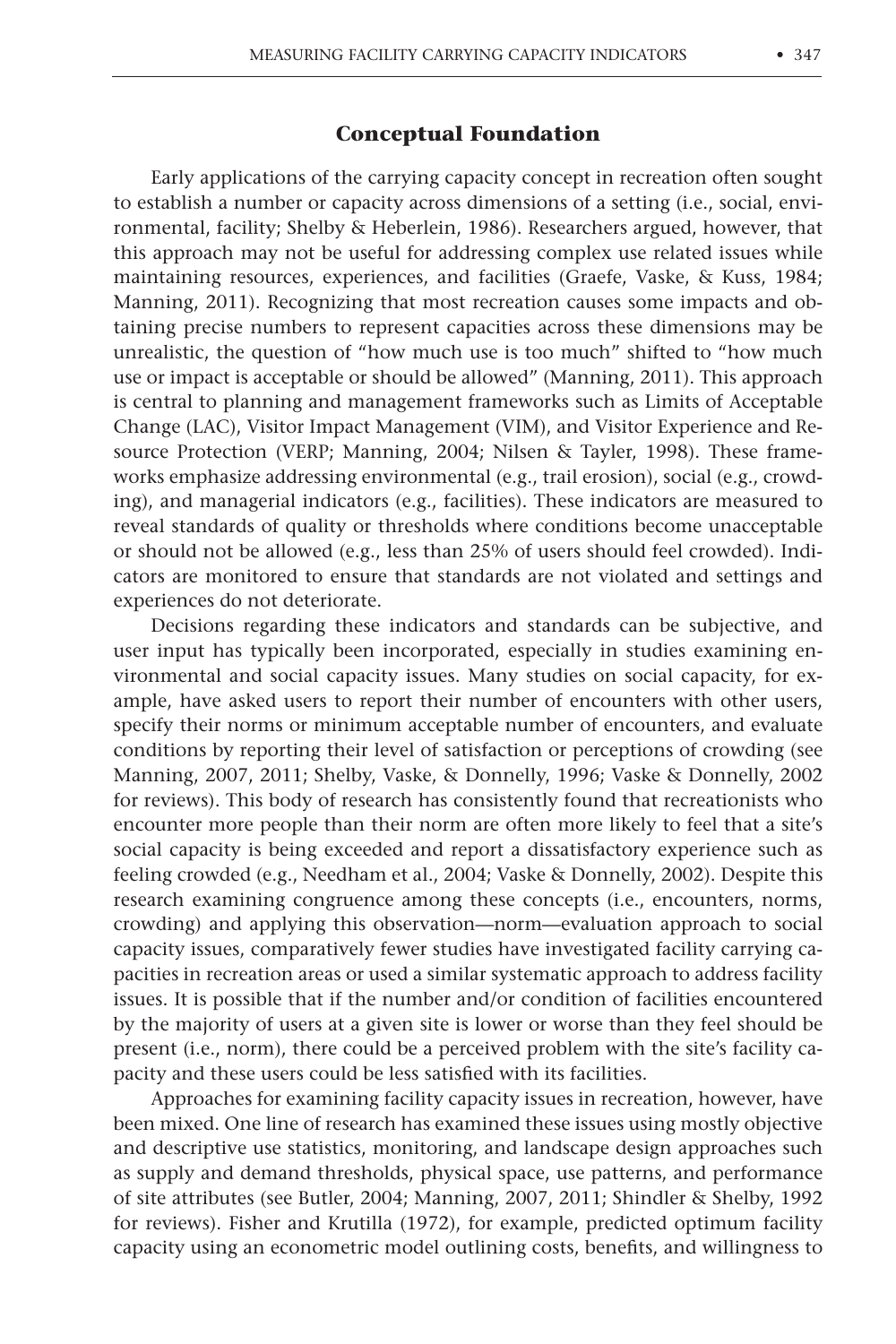### **Conceptual Foundation**

Early applications of the carrying capacity concept in recreation often sought to establish a number or capacity across dimensions of a setting (i.e., social, environmental, facility; Shelby & Heberlein, 1986). Researchers argued, however, that this approach may not be useful for addressing complex use related issues while maintaining resources, experiences, and facilities (Graefe, Vaske, & Kuss, 1984; Manning, 2011). Recognizing that most recreation causes some impacts and obtaining precise numbers to represent capacities across these dimensions may be unrealistic, the question of "how much use is too much" shifted to "how much use or impact is acceptable or should be allowed" (Manning, 2011). This approach is central to planning and management frameworks such as Limits of Acceptable Change (LAC), Visitor Impact Management (VIM), and Visitor Experience and Resource Protection (VERP; Manning, 2004; Nilsen & Tayler, 1998). These frameworks emphasize addressing environmental (e.g., trail erosion), social (e.g., crowding), and managerial indicators (e.g., facilities). These indicators are measured to reveal standards of quality or thresholds where conditions become unacceptable or should not be allowed (e.g., less than 25% of users should feel crowded). Indicators are monitored to ensure that standards are not violated and settings and experiences do not deteriorate.

Decisions regarding these indicators and standards can be subjective, and user input has typically been incorporated, especially in studies examining environmental and social capacity issues. Many studies on social capacity, for example, have asked users to report their number of encounters with other users, specify their norms or minimum acceptable number of encounters, and evaluate conditions by reporting their level of satisfaction or perceptions of crowding (see Manning, 2007, 2011; Shelby, Vaske, & Donnelly, 1996; Vaske & Donnelly, 2002 for reviews). This body of research has consistently found that recreationists who encounter more people than their norm are often more likely to feel that a site's social capacity is being exceeded and report a dissatisfactory experience such as feeling crowded (e.g., Needham et al., 2004; Vaske & Donnelly, 2002). Despite this research examining congruence among these concepts (i.e., encounters, norms, crowding) and applying this observation—norm—evaluation approach to social capacity issues, comparatively fewer studies have investigated facility carrying capacities in recreation areas or used a similar systematic approach to address facility issues. It is possible that if the number and/or condition of facilities encountered by the majority of users at a given site is lower or worse than they feel should be present (i.e., norm), there could be a perceived problem with the site's facility capacity and these users could be less satisfied with its facilities.

Approaches for examining facility capacity issues in recreation, however, have been mixed. One line of research has examined these issues using mostly objective and descriptive use statistics, monitoring, and landscape design approaches such as supply and demand thresholds, physical space, use patterns, and performance of site attributes (see Butler, 2004; Manning, 2007, 2011; Shindler & Shelby, 1992 for reviews). Fisher and Krutilla (1972), for example, predicted optimum facility capacity using an econometric model outlining costs, benefits, and willingness to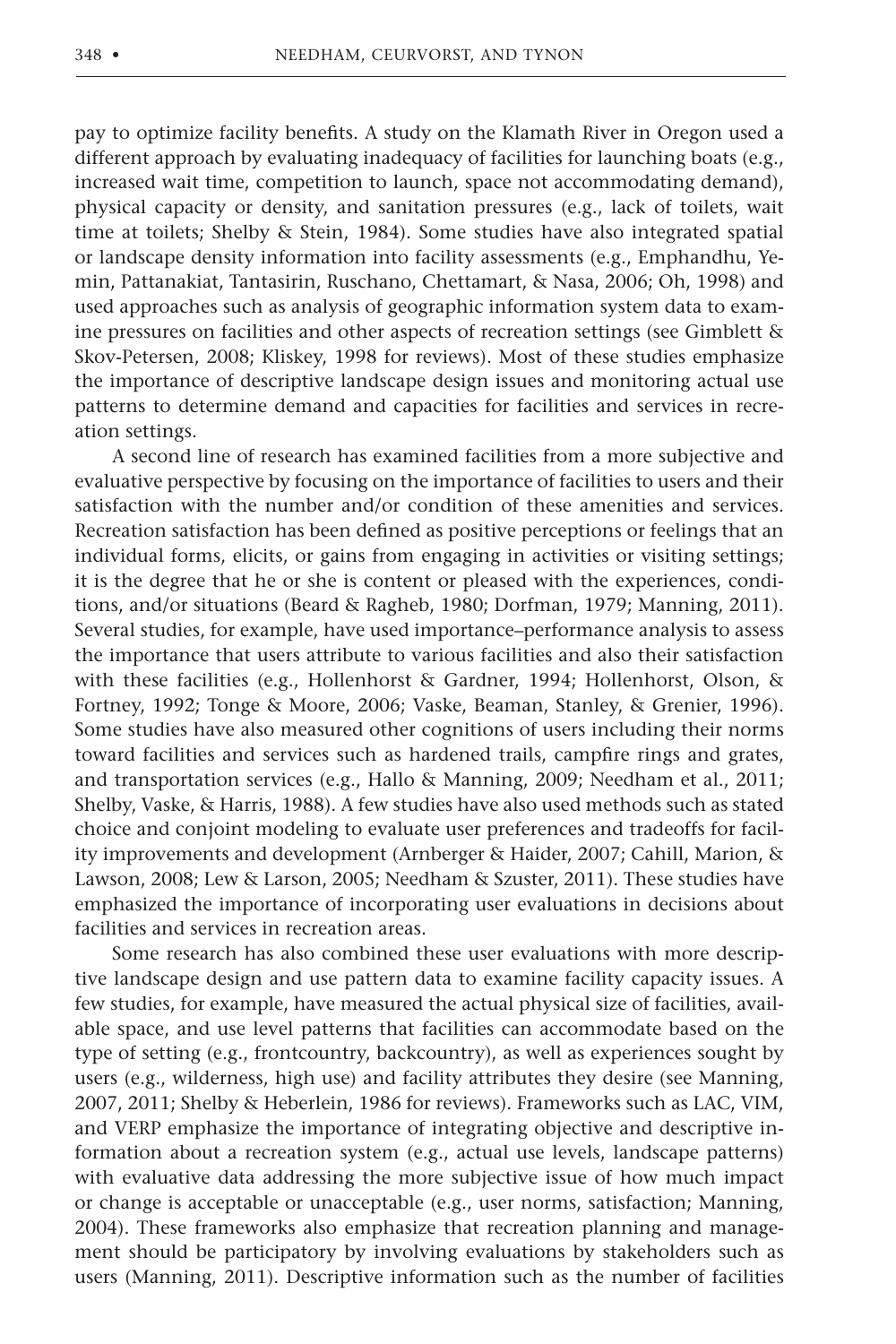pay to optimize facility benefits. A study on the Klamath River in Oregon used a different approach by evaluating inadequacy of facilities for launching boats (e.g., increased wait time, competition to launch, space not accommodating demand), physical capacity or density, and sanitation pressures (e.g., lack of toilets, wait time at toilets; Shelby & Stein, 1984). Some studies have also integrated spatial or landscape density information into facility assessments (e.g., Emphandhu, Yemin, Pattanakiat, Tantasirin, Ruschano, Chettamart, & Nasa, 2006; Oh, 1998) and used approaches such as analysis of geographic information system data to examine pressures on facilities and other aspects of recreation settings (see Gimblett & Skov-Petersen, 2008; Kliskey, 1998 for reviews). Most of these studies emphasize the importance of descriptive landscape design issues and monitoring actual use patterns to determine demand and capacities for facilities and services in recreation settings.

A second line of research has examined facilities from a more subjective and evaluative perspective by focusing on the importance of facilities to users and their satisfaction with the number and/or condition of these amenities and services. Recreation satisfaction has been defined as positive perceptions or feelings that an individual forms, elicits, or gains from engaging in activities or visiting settings; it is the degree that he or she is content or pleased with the experiences, conditions, and/or situations (Beard & Ragheb, 1980; Dorfman, 1979; Manning, 2011). Several studies, for example, have used importance–performance analysis to assess the importance that users attribute to various facilities and also their satisfaction with these facilities (e.g., Hollenhorst & Gardner, 1994; Hollenhorst, Olson, & Fortney, 1992; Tonge & Moore, 2006; Vaske, Beaman, Stanley, & Grenier, 1996). Some studies have also measured other cognitions of users including their norms toward facilities and services such as hardened trails, campfire rings and grates, and transportation services (e.g., Hallo & Manning, 2009; Needham et al., 2011; Shelby, Vaske, & Harris, 1988). A few studies have also used methods such as stated choice and conjoint modeling to evaluate user preferences and tradeoffs for facility improvements and development (Arnberger & Haider, 2007; Cahill, Marion, & Lawson, 2008; Lew & Larson, 2005; Needham & Szuster, 2011). These studies have emphasized the importance of incorporating user evaluations in decisions about facilities and services in recreation areas.

Some research has also combined these user evaluations with more descriptive landscape design and use pattern data to examine facility capacity issues. A few studies, for example, have measured the actual physical size of facilities, available space, and use level patterns that facilities can accommodate based on the type of setting (e.g., frontcountry, backcountry), as well as experiences sought by users (e.g., wilderness, high use) and facility attributes they desire (see Manning, 2007, 2011; Shelby & Heberlein, 1986 for reviews). Frameworks such as LAC, VIM, and VERP emphasize the importance of integrating objective and descriptive information about a recreation system (e.g., actual use levels, landscape patterns) with evaluative data addressing the more subjective issue of how much impact or change is acceptable or unacceptable (e.g., user norms, satisfaction; Manning, 2004). These frameworks also emphasize that recreation planning and management should be participatory by involving evaluations by stakeholders such as users (Manning, 2011). Descriptive information such as the number of facilities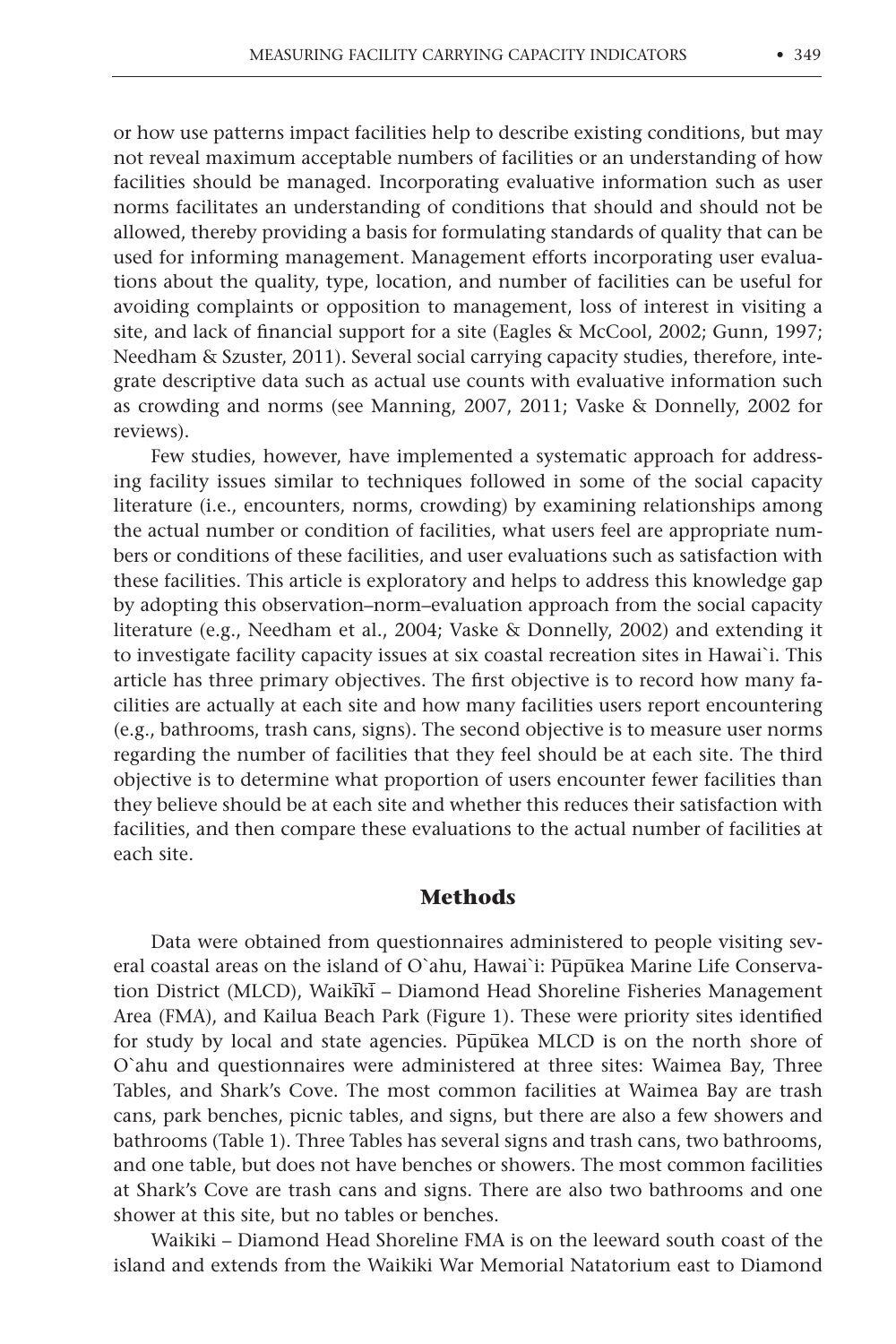or how use patterns impact facilities help to describe existing conditions, but may not reveal maximum acceptable numbers of facilities or an understanding of how facilities should be managed. Incorporating evaluative information such as user norms facilitates an understanding of conditions that should and should not be allowed, thereby providing a basis for formulating standards of quality that can be used for informing management. Management efforts incorporating user evaluations about the quality, type, location, and number of facilities can be useful for avoiding complaints or opposition to management, loss of interest in visiting a site, and lack of financial support for a site (Eagles & McCool, 2002; Gunn, 1997; Needham & Szuster, 2011). Several social carrying capacity studies, therefore, integrate descriptive data such as actual use counts with evaluative information such as crowding and norms (see Manning, 2007, 2011; Vaske & Donnelly, 2002 for reviews).

Few studies, however, have implemented a systematic approach for addressing facility issues similar to techniques followed in some of the social capacity literature (i.e., encounters, norms, crowding) by examining relationships among the actual number or condition of facilities, what users feel are appropriate numbers or conditions of these facilities, and user evaluations such as satisfaction with these facilities. This article is exploratory and helps to address this knowledge gap by adopting this observation–norm–evaluation approach from the social capacity literature (e.g., Needham et al., 2004; Vaske & Donnelly, 2002) and extending it to investigate facility capacity issues at six coastal recreation sites in Hawai`i. This article has three primary objectives. The first objective is to record how many facilities are actually at each site and how many facilities users report encountering (e.g., bathrooms, trash cans, signs). The second objective is to measure user norms regarding the number of facilities that they feel should be at each site. The third objective is to determine what proportion of users encounter fewer facilities than they believe should be at each site and whether this reduces their satisfaction with facilities, and then compare these evaluations to the actual number of facilities at each site.

### **Methods**

Data were obtained from questionnaires administered to people visiting several coastal areas on the island of O'ahu, Hawai'i: Pūpūkea Marine Life Conservation District (MLCD), Waikiki – Diamond Head Shoreline Fisheries Management Area (FMA), and Kailua Beach Park (Figure 1). These were priority sites identified for study by local and state agencies. Pupukea MLCD is on the north shore of O`ahu and questionnaires were administered at three sites: Waimea Bay, Three Tables, and Shark's Cove. The most common facilities at Waimea Bay are trash cans, park benches, picnic tables, and signs, but there are also a few showers and bathrooms (Table 1). Three Tables has several signs and trash cans, two bathrooms, and one table, but does not have benches or showers. The most common facilities at Shark's Cove are trash cans and signs. There are also two bathrooms and one shower at this site, but no tables or benches.

Waikiki – Diamond Head Shoreline FMA is on the leeward south coast of the island and extends from the Waikiki War Memorial Natatorium east to Diamond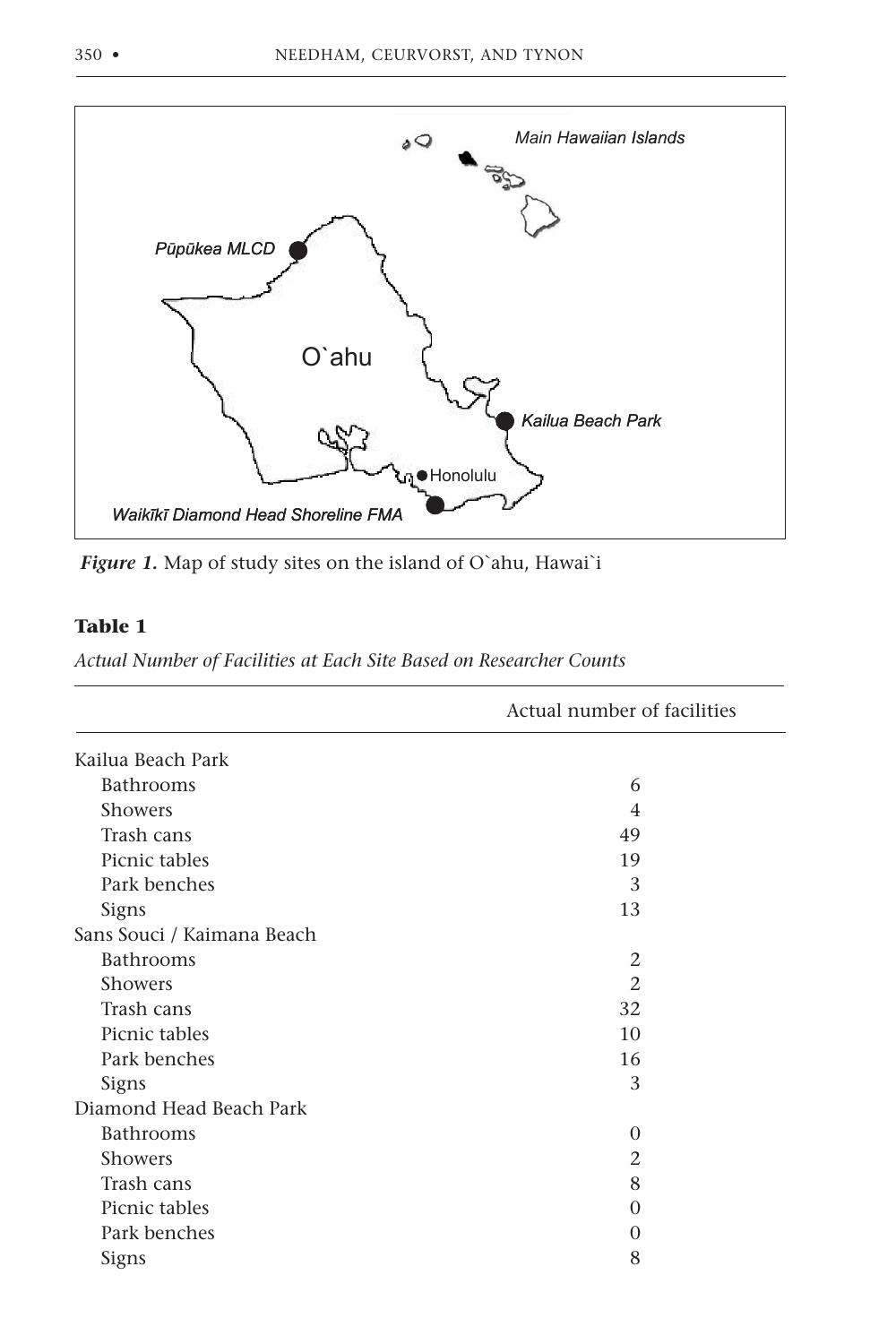

*Figure 1.* Map of study sites on the island of O`ahu, Hawai`i

*Actual Number of Facilities at Each Site Based on Researcher Counts*

|                            | Actual number of facilities |
|----------------------------|-----------------------------|
| Kailua Beach Park          |                             |
| Bathrooms                  | 6                           |
| <b>Showers</b>             | 4                           |
| Trash cans                 | 49                          |
| Picnic tables              | 19                          |
| Park benches               | 3                           |
| Signs                      | 13                          |
| Sans Souci / Kaimana Beach |                             |
| Bathrooms                  | 2                           |
| <b>Showers</b>             | $\mathcal{D}_{\mathcal{L}}$ |
| Trash cans                 | 32                          |
| Picnic tables              | 10                          |
| Park benches               | 16                          |
| Signs                      | 3                           |
| Diamond Head Beach Park    |                             |
| Bathrooms                  | $\Omega$                    |
| Showers                    | 2                           |
| Trash cans                 | 8                           |
| Picnic tables              | $\Omega$                    |
| Park benches               | $\Omega$                    |
| Signs                      | 8                           |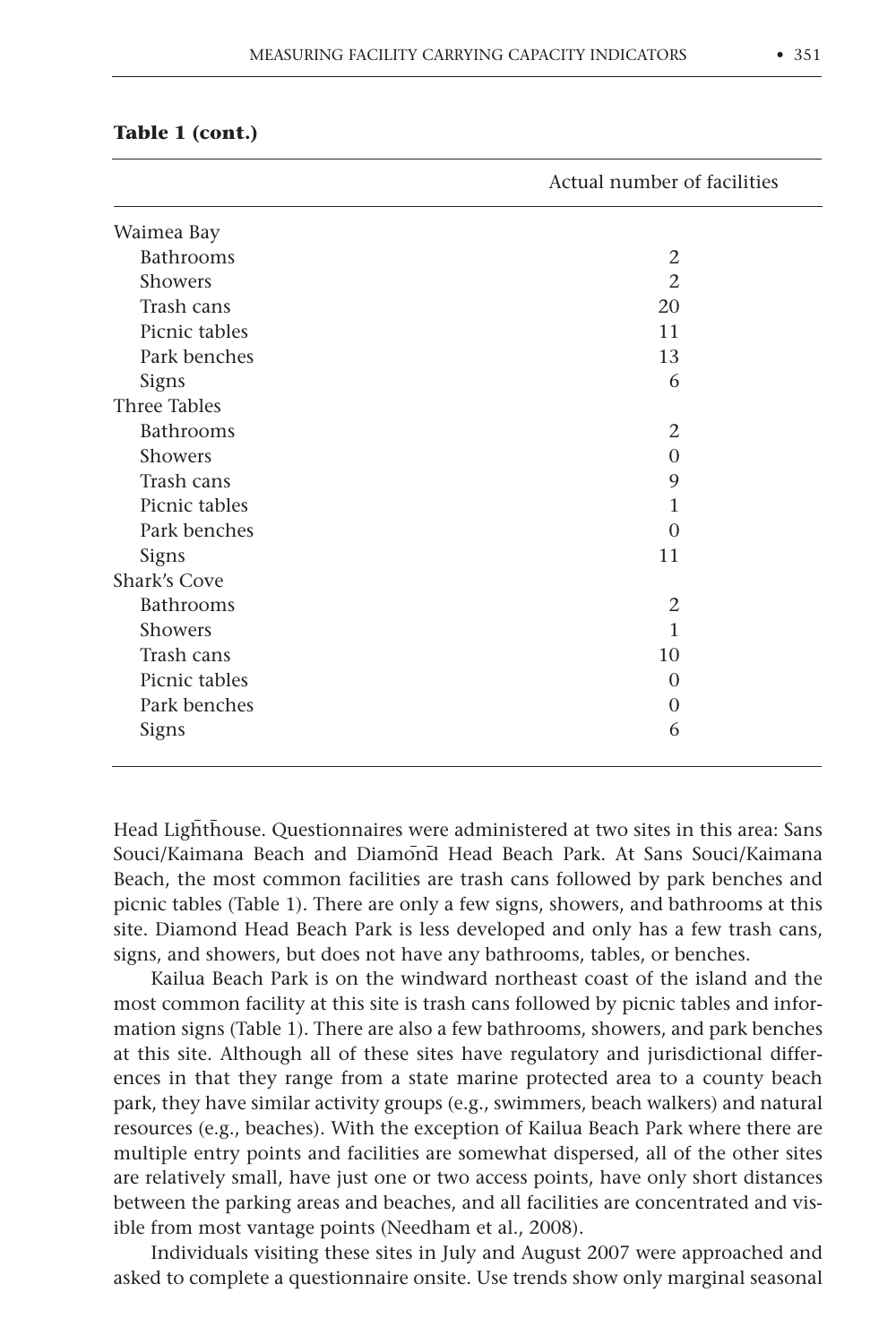|                     | Actual number of facilities |
|---------------------|-----------------------------|
| Waimea Bay          |                             |
| Bathrooms           | 2                           |
| Showers             | 2                           |
| Trash cans          | 20                          |
| Picnic tables       | 11                          |
| Park benches        | 13                          |
| Signs               | 6                           |
| <b>Three Tables</b> |                             |
| Bathrooms           | 2                           |
| Showers             | $\Omega$                    |
| Trash cans          | 9                           |
| Picnic tables       | 1                           |
| Park benches        | $\Omega$                    |
| Signs               | 11                          |
| Shark's Cove        |                             |
| Bathrooms           | 2                           |
| Showers             | 1                           |
| Trash cans          | 10                          |
| Picnic tables       | $\Omega$                    |
| Park benches        | $\Omega$                    |
| Signs               | 6                           |
|                     |                             |

### **Table 1 (cont.)**

Head Lighthouse. Questionnaires were administered at two sites in this area: Sans Souci/Kaimana Beach and Diamond Head Beach Park. At Sans Souci/Kaimana Beach, the most common facilities are trash cans followed by park benches and picnic tables (Table 1). There are only a few signs, showers, and bathrooms at this site. Diamond Head Beach Park is less developed and only has a few trash cans, signs, and showers, but does not have any bathrooms, tables, or benches.

Kailua Beach Park is on the windward northeast coast of the island and the most common facility at this site is trash cans followed by picnic tables and information signs (Table 1). There are also a few bathrooms, showers, and park benches at this site. Although all of these sites have regulatory and jurisdictional differences in that they range from a state marine protected area to a county beach park, they have similar activity groups (e.g., swimmers, beach walkers) and natural resources (e.g., beaches). With the exception of Kailua Beach Park where there are multiple entry points and facilities are somewhat dispersed, all of the other sites are relatively small, have just one or two access points, have only short distances between the parking areas and beaches, and all facilities are concentrated and visible from most vantage points (Needham et al., 2008).

Individuals visiting these sites in July and August 2007 were approached and asked to complete a questionnaire onsite. Use trends show only marginal seasonal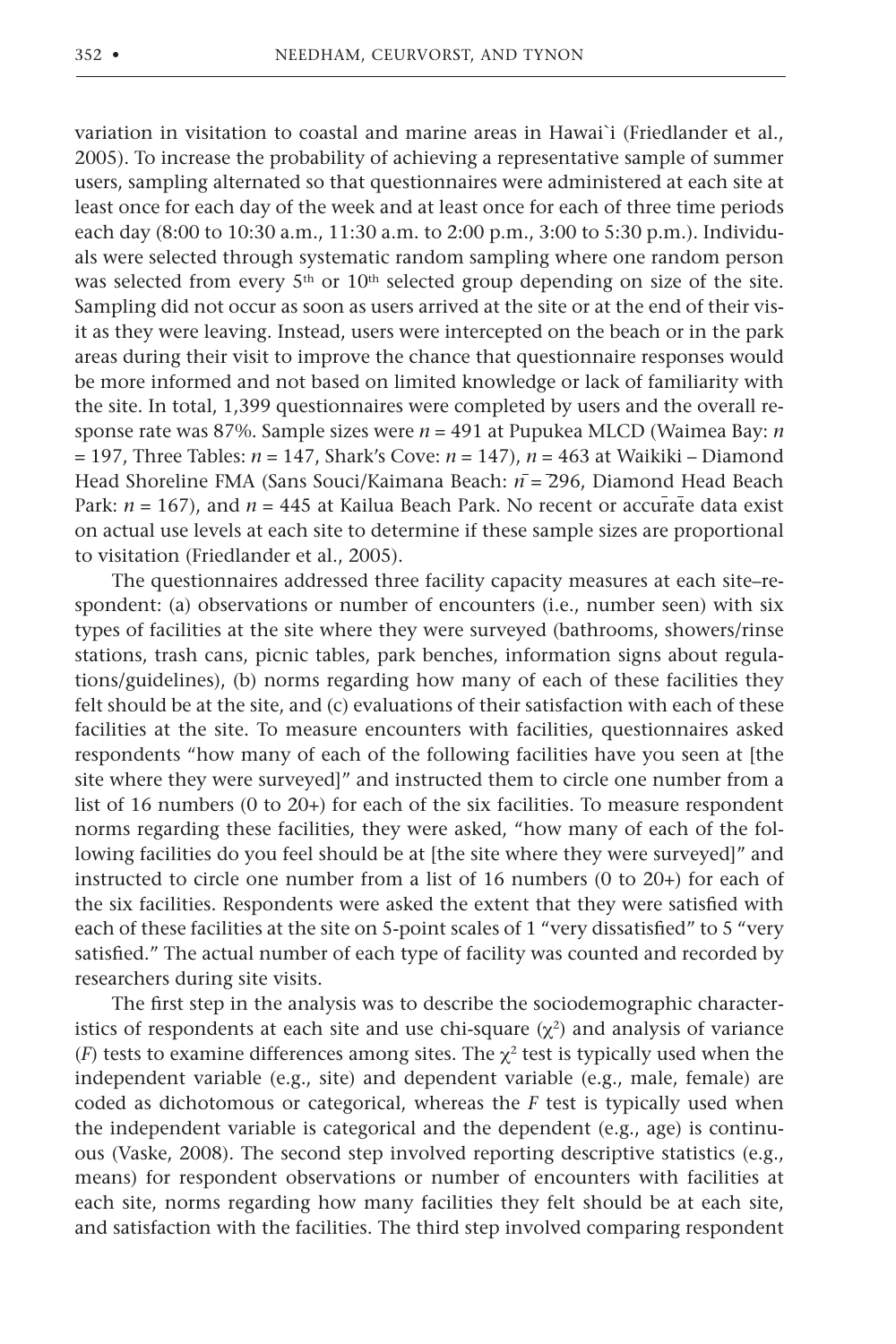variation in visitation to coastal and marine areas in Hawai`i (Friedlander et al., 2005). To increase the probability of achieving a representative sample of summer users, sampling alternated so that questionnaires were administered at each site at least once for each day of the week and at least once for each of three time periods each day (8:00 to 10:30 a.m., 11:30 a.m. to 2:00 p.m., 3:00 to 5:30 p.m.). Individuals were selected through systematic random sampling where one random person was selected from every  $5<sup>th</sup>$  or  $10<sup>th</sup>$  selected group depending on size of the site. Sampling did not occur as soon as users arrived at the site or at the end of their visit as they were leaving. Instead, users were intercepted on the beach or in the park areas during their visit to improve the chance that questionnaire responses would be more informed and not based on limited knowledge or lack of familiarity with the site. In total, 1,399 questionnaires were completed by users and the overall response rate was 87%. Sample sizes were *n* = 491 at Pupukea MLCD (Waimea Bay: *n* = 197, Three Tables: *n* = 147, Shark's Cove: *n* = 147), *n* = 463 at Waikiki – Diamond Head Shoreline FMA (Sans Souci/Kaimana Beach: *n* = 296, Diamond Head Beach Park:  $n = 167$ ), and  $n = 445$  at Kailua Beach Park. No recent or accurate data exist on actual use levels at each site to determine if these sample sizes are proportional to visitation (Friedlander et al., 2005).

The questionnaires addressed three facility capacity measures at each site–respondent: (a) observations or number of encounters (i.e., number seen) with six types of facilities at the site where they were surveyed (bathrooms, showers/rinse stations, trash cans, picnic tables, park benches, information signs about regulations/guidelines), (b) norms regarding how many of each of these facilities they felt should be at the site, and (c) evaluations of their satisfaction with each of these facilities at the site. To measure encounters with facilities, questionnaires asked respondents "how many of each of the following facilities have you seen at [the site where they were surveyed]" and instructed them to circle one number from a list of 16 numbers (0 to 20+) for each of the six facilities. To measure respondent norms regarding these facilities, they were asked, "how many of each of the following facilities do you feel should be at [the site where they were surveyed]" and instructed to circle one number from a list of 16 numbers (0 to 20+) for each of the six facilities. Respondents were asked the extent that they were satisfied with each of these facilities at the site on 5-point scales of 1 "very dissatisfied" to 5 "very satisfied." The actual number of each type of facility was counted and recorded by researchers during site visits.

The first step in the analysis was to describe the sociodemographic characteristics of respondents at each site and use chi-square  $(\chi^2)$  and analysis of variance (*F*) tests to examine differences among sites. The  $\chi^2$  test is typically used when the independent variable (e.g., site) and dependent variable (e.g., male, female) are coded as dichotomous or categorical, whereas the *F* test is typically used when the independent variable is categorical and the dependent (e.g., age) is continuous (Vaske, 2008). The second step involved reporting descriptive statistics (e.g., means) for respondent observations or number of encounters with facilities at each site, norms regarding how many facilities they felt should be at each site, and satisfaction with the facilities. The third step involved comparing respondent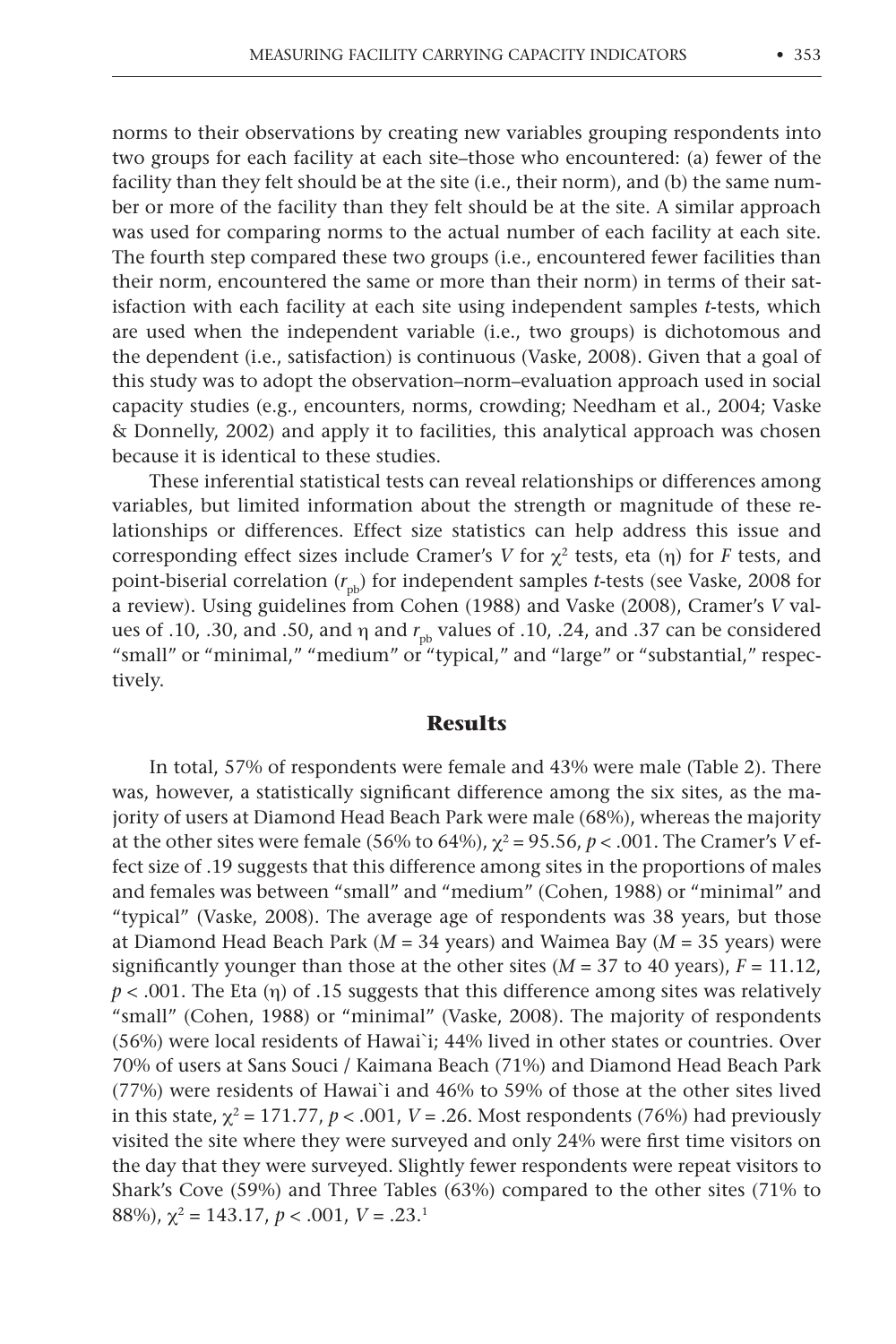norms to their observations by creating new variables grouping respondents into two groups for each facility at each site–those who encountered: (a) fewer of the facility than they felt should be at the site (i.e., their norm), and (b) the same number or more of the facility than they felt should be at the site. A similar approach was used for comparing norms to the actual number of each facility at each site.

The fourth step compared these two groups (i.e., encountered fewer facilities than their norm, encountered the same or more than their norm) in terms of their satisfaction with each facility at each site using independent samples *t*-tests, which are used when the independent variable (i.e., two groups) is dichotomous and the dependent (i.e., satisfaction) is continuous (Vaske, 2008). Given that a goal of this study was to adopt the observation–norm–evaluation approach used in social capacity studies (e.g., encounters, norms, crowding; Needham et al., 2004; Vaske & Donnelly, 2002) and apply it to facilities, this analytical approach was chosen because it is identical to these studies.

These inferential statistical tests can reveal relationships or differences among variables, but limited information about the strength or magnitude of these relationships or differences. Effect size statistics can help address this issue and corresponding effect sizes include Cramer's *V* for  $\chi^2$  tests, eta (n) for *F* tests, and point-biserial correlation  $(r_{\text{nb}})$  for independent samples *t*-tests (see Vaske, 2008 for a review). Using guidelines from Cohen (1988) and Vaske (2008), Cramer's *V* values of .10, .30, and .50, and  $\eta$  and  $r_{\text{nb}}$  values of .10, .24, and .37 can be considered "small" or "minimal," "medium" or "typical," and "large" or "substantial," respectively.

### **Results**

In total, 57% of respondents were female and 43% were male (Table 2). There was, however, a statistically significant difference among the six sites, as the majority of users at Diamond Head Beach Park were male (68%), whereas the majority at the other sites were female (56% to 64%),  $\chi^2$  = 95.56,  $p < .001$ . The Cramer's *V* effect size of .19 suggests that this difference among sites in the proportions of males and females was between "small" and "medium" (Cohen, 1988) or "minimal" and "typical" (Vaske, 2008). The average age of respondents was 38 years, but those at Diamond Head Beach Park (*M* = 34 years) and Waimea Bay (*M* = 35 years) were significantly younger than those at the other sites ( $M = 37$  to 40 years),  $F = 11.12$ ,  $p < .001$ . The Eta (n) of .15 suggests that this difference among sites was relatively "small" (Cohen, 1988) or "minimal" (Vaske, 2008). The majority of respondents (56%) were local residents of Hawai`i; 44% lived in other states or countries. Over 70% of users at Sans Souci / Kaimana Beach (71%) and Diamond Head Beach Park (77%) were residents of Hawai`i and 46% to 59% of those at the other sites lived in this state,  $\chi^2 = 171.77$ ,  $p < .001$ ,  $V = .26$ . Most respondents (76%) had previously visited the site where they were surveyed and only 24% were first time visitors on the day that they were surveyed. Slightly fewer respondents were repeat visitors to Shark's Cove (59%) and Three Tables (63%) compared to the other sites (71% to 88%),  $\chi^2 = 143.17$ ,  $p < .001$ ,  $V = .23.1$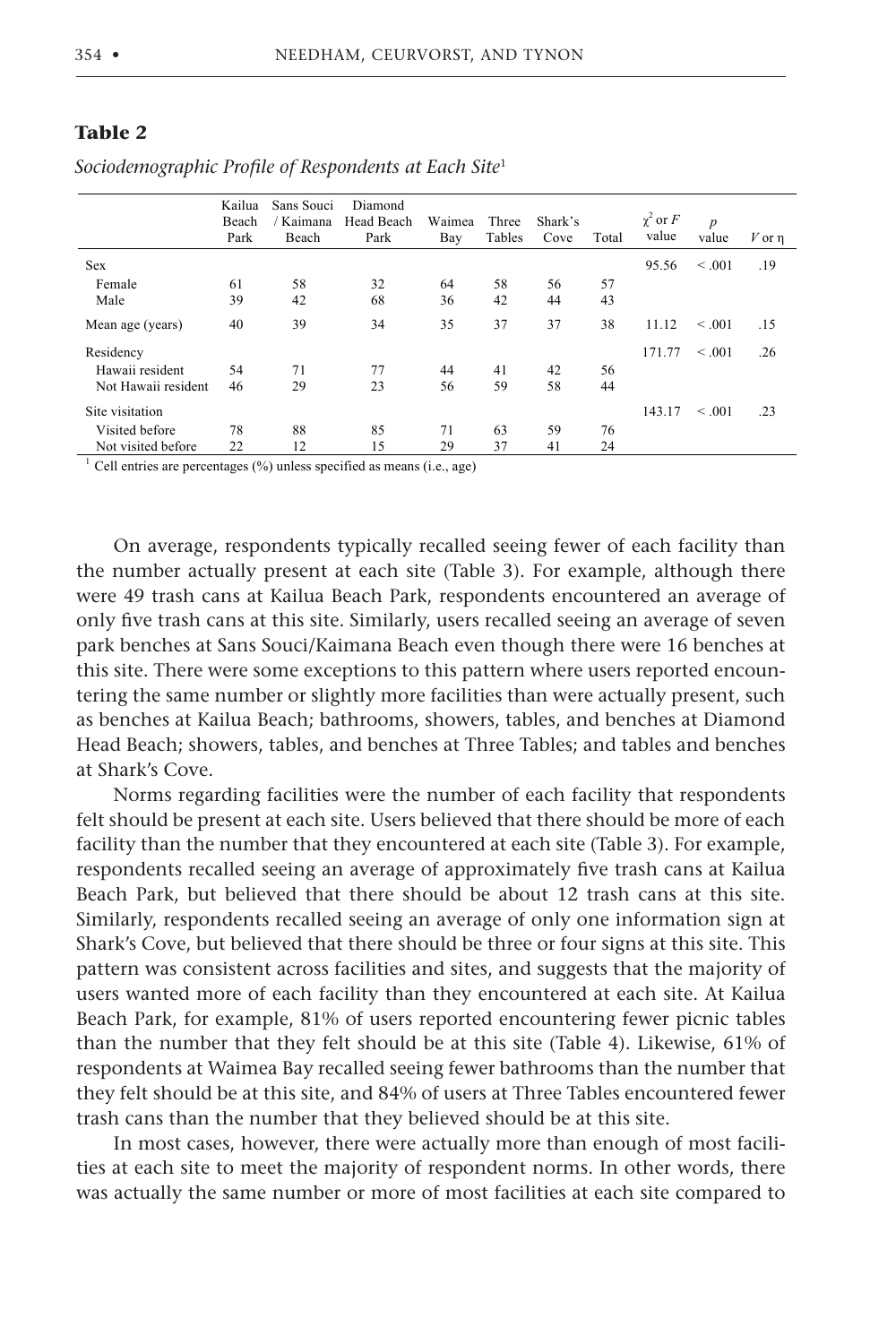|                     | Kailua<br>Beach<br>Park | Sans Souci<br>'Kaimana<br>Beach | Diamond<br>Head Beach<br>Park | Waimea<br>Bay | Three<br>Tables | Shark's<br>Cove | Total | $\chi^2$ or F<br>value | $\overline{p}$<br>value | $V$ or $\eta$ |
|---------------------|-------------------------|---------------------------------|-------------------------------|---------------|-----------------|-----------------|-------|------------------------|-------------------------|---------------|
| Sex                 |                         |                                 |                               |               |                 |                 |       | 95.56                  | < 0.001                 | .19           |
| Female              | 61                      | 58                              | 32                            | 64            | 58              | 56              | 57    |                        |                         |               |
| Male                | 39                      | 42                              | 68                            | 36            | 42              | 44              | 43    |                        |                         |               |
| Mean age (years)    | 40                      | 39                              | 34                            | 35            | 37              | 37              | 38    | 11.12                  | < 0.001                 | .15           |
| Residency           |                         |                                 |                               |               |                 |                 |       | 171.77                 | < 0.01                  | .26           |
| Hawaii resident     | 54                      | 71                              | 77                            | 44            | 41              | 42              | 56    |                        |                         |               |
| Not Hawaii resident | 46                      | 29                              | 23                            | 56            | 59              | 58              | 44    |                        |                         |               |
| Site visitation     |                         |                                 |                               |               |                 |                 |       | 143.17                 | ~<~001                  | .23           |
| Visited before      | 78                      | 88                              | 85                            | 71            | 63              | 59              | 76    |                        |                         |               |
| Not visited before  | 22                      | 12                              | 15                            | 29            | 37              | 41              | 24    |                        |                         |               |

*Sociodemographic Profile of Respondents at Each Site*<sup>1</sup>

1 Cell entries are percentages (%) unless specified as means (i.e., age)

On average, respondents typically recalled seeing fewer of each facility than the number actually present at each site (Table 3). For example, although there were 49 trash cans at Kailua Beach Park, respondents encountered an average of only five trash cans at this site. Similarly, users recalled seeing an average of seven park benches at Sans Souci/Kaimana Beach even though there were 16 benches at this site. There were some exceptions to this pattern where users reported encountering the same number or slightly more facilities than were actually present, such as benches at Kailua Beach; bathrooms, showers, tables, and benches at Diamond Head Beach; showers, tables, and benches at Three Tables; and tables and benches at Shark's Cove.

Norms regarding facilities were the number of each facility that respondents felt should be present at each site. Users believed that there should be more of each facility than the number that they encountered at each site (Table 3). For example, respondents recalled seeing an average of approximately five trash cans at Kailua Beach Park, but believed that there should be about 12 trash cans at this site. Similarly, respondents recalled seeing an average of only one information sign at Shark's Cove, but believed that there should be three or four signs at this site. This pattern was consistent across facilities and sites, and suggests that the majority of users wanted more of each facility than they encountered at each site. At Kailua Beach Park, for example, 81% of users reported encountering fewer picnic tables than the number that they felt should be at this site (Table 4). Likewise, 61% of respondents at Waimea Bay recalled seeing fewer bathrooms than the number that they felt should be at this site, and 84% of users at Three Tables encountered fewer trash cans than the number that they believed should be at this site.

In most cases, however, there were actually more than enough of most facilities at each site to meet the majority of respondent norms. In other words, there was actually the same number or more of most facilities at each site compared to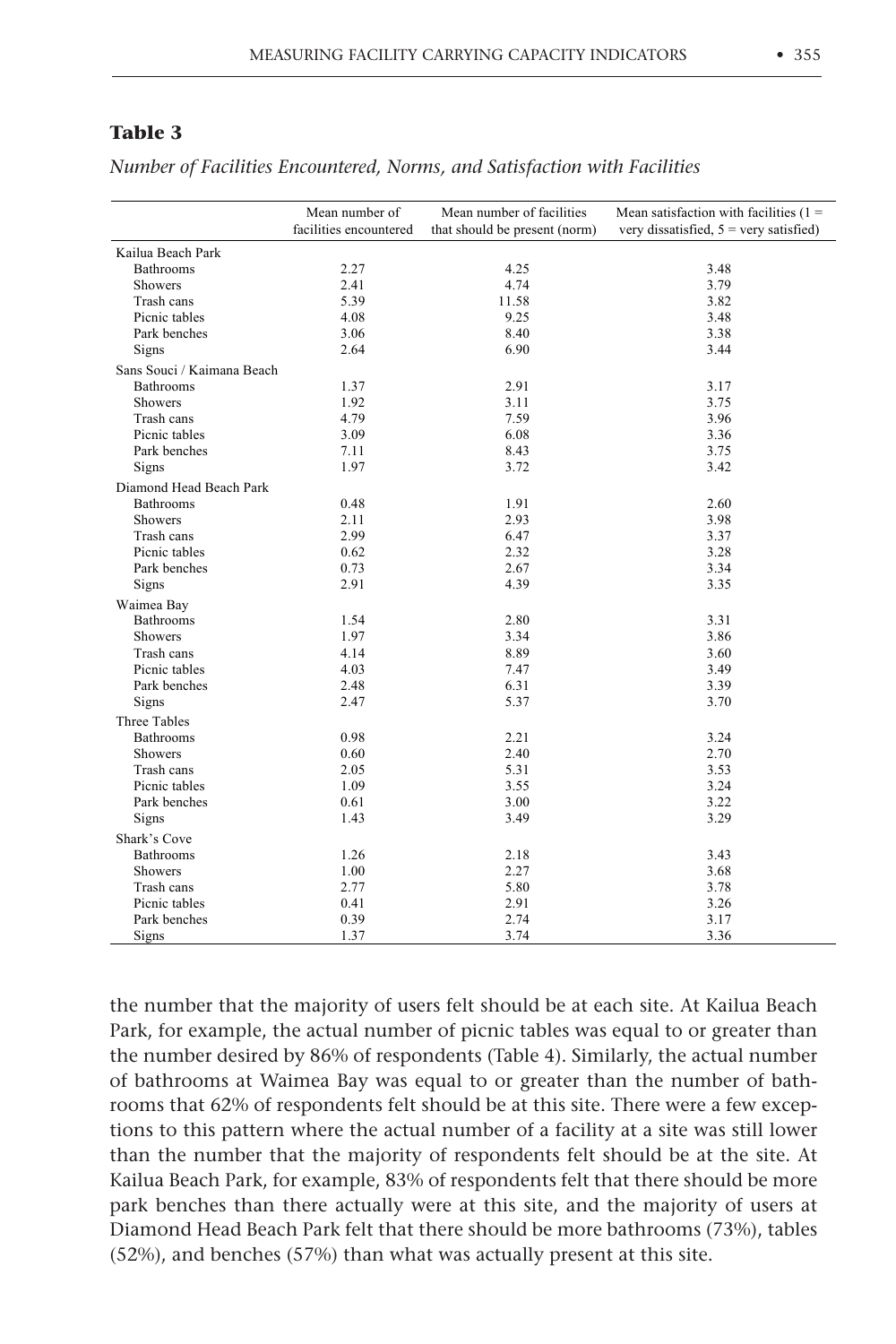*Number of Facilities Encountered, Norms, and Satisfaction with Facilities*

|                            | Mean number of<br>facilities encountered | Mean number of facilities<br>that should be present (norm) | Mean satisfaction with facilities $(1 =$<br>very dissatisfied, $5$ = very satisfied) |  |  |
|----------------------------|------------------------------------------|------------------------------------------------------------|--------------------------------------------------------------------------------------|--|--|
| Kailua Beach Park          |                                          |                                                            |                                                                                      |  |  |
| <b>Bathrooms</b>           | 2.27                                     | 4.25                                                       | 3.48                                                                                 |  |  |
| Showers                    | 2.41                                     | 4.74                                                       | 3.79                                                                                 |  |  |
| Trash cans                 | 5.39                                     | 11.58                                                      | 3.82                                                                                 |  |  |
| Picnic tables              | 4.08                                     | 9.25                                                       | 3.48                                                                                 |  |  |
| Park benches               | 3.06                                     | 8.40                                                       | 3.38                                                                                 |  |  |
| Signs                      | 2.64                                     | 6.90                                                       | 3.44                                                                                 |  |  |
| Sans Souci / Kaimana Beach |                                          |                                                            |                                                                                      |  |  |
| <b>Bathrooms</b>           | 1.37                                     | 2.91                                                       | 3.17                                                                                 |  |  |
| Showers                    | 1.92                                     | 3.11                                                       | 3.75                                                                                 |  |  |
| Trash cans                 | 4.79                                     | 7.59                                                       | 3.96                                                                                 |  |  |
| Picnic tables              | 3.09                                     | 6.08                                                       | 3.36                                                                                 |  |  |
| Park benches               | 7.11                                     | 8.43                                                       | 3.75                                                                                 |  |  |
| Signs                      | 1.97                                     | 3.72                                                       | 3.42                                                                                 |  |  |
| Diamond Head Beach Park    |                                          |                                                            |                                                                                      |  |  |
| <b>Bathrooms</b>           | 0.48                                     | 1.91                                                       | 2.60                                                                                 |  |  |
| Showers                    | 2.11                                     | 2.93                                                       | 3.98                                                                                 |  |  |
| Trash cans                 | 2.99                                     | 6.47                                                       | 3.37                                                                                 |  |  |
| Picnic tables              | 0.62                                     | 2.32                                                       | 3.28                                                                                 |  |  |
| Park benches               | 0.73                                     | 2.67                                                       | 3.34                                                                                 |  |  |
| Signs                      | 2.91                                     | 4.39                                                       | 3.35                                                                                 |  |  |
| Waimea Bay                 |                                          |                                                            |                                                                                      |  |  |
| <b>Bathrooms</b>           | 1.54                                     | 2.80                                                       | 3.31                                                                                 |  |  |
| Showers                    | 1.97                                     | 3.34                                                       | 3.86                                                                                 |  |  |
| Trash cans                 | 4.14                                     | 8.89                                                       | 3.60                                                                                 |  |  |
| Picnic tables              | 4.03                                     | 7.47                                                       | 3.49                                                                                 |  |  |
| Park benches               | 2.48                                     | 6.31                                                       | 3.39                                                                                 |  |  |
| Signs                      | 2.47                                     | 5.37                                                       | 3.70                                                                                 |  |  |
| Three Tables               |                                          |                                                            |                                                                                      |  |  |
| <b>Bathrooms</b>           | 0.98                                     | 2.21                                                       | 3.24                                                                                 |  |  |
| Showers                    | 0.60                                     | 2.40                                                       | 2.70                                                                                 |  |  |
| Trash cans                 | 2.05                                     | 5.31                                                       | 3.53                                                                                 |  |  |
| Picnic tables              | 1.09                                     | 3.55                                                       | 3.24                                                                                 |  |  |
| Park benches               | 0.61                                     | 3.00                                                       | 3.22                                                                                 |  |  |
| Signs                      | 1.43                                     | 3.49                                                       | 3.29                                                                                 |  |  |
| Shark's Cove               |                                          |                                                            |                                                                                      |  |  |
| <b>Bathrooms</b>           | 1.26                                     | 2.18                                                       | 3.43                                                                                 |  |  |
| Showers                    | 1.00                                     | 2.27                                                       | 3.68                                                                                 |  |  |
| Trash cans                 | 2.77                                     | 5.80                                                       | 3.78                                                                                 |  |  |
| Picnic tables              | 0.41                                     | 2.91                                                       | 3.26                                                                                 |  |  |
| Park benches               | 0.39                                     | 2.74                                                       | 3.17                                                                                 |  |  |
| Signs                      | 1.37                                     | 3.74                                                       | 3.36                                                                                 |  |  |

the number that the majority of users felt should be at each site. At Kailua Beach Park, for example, the actual number of picnic tables was equal to or greater than the number desired by 86% of respondents (Table 4). Similarly, the actual number of bathrooms at Waimea Bay was equal to or greater than the number of bathrooms that 62% of respondents felt should be at this site. There were a few exceptions to this pattern where the actual number of a facility at a site was still lower than the number that the majority of respondents felt should be at the site. At Kailua Beach Park, for example, 83% of respondents felt that there should be more park benches than there actually were at this site, and the majority of users at Diamond Head Beach Park felt that there should be more bathrooms (73%), tables (52%), and benches (57%) than what was actually present at this site.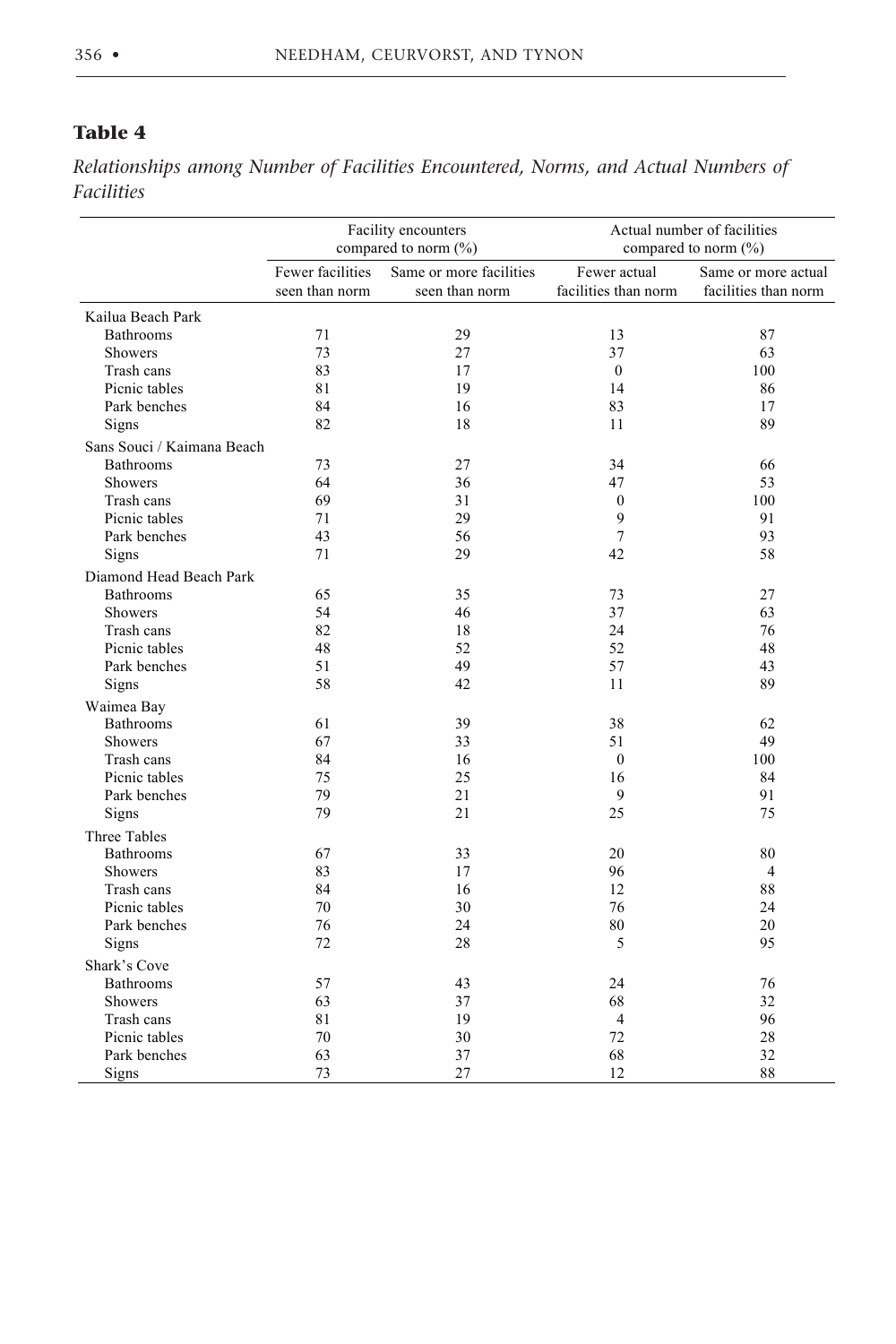*Relationships among Number of Facilities Encountered, Norms, and Actual Numbers of Facilities*

|                            | Facility encounters<br>compared to norm (%) |                                           | Actual number of facilities<br>compared to norm (%) |                                             |  |
|----------------------------|---------------------------------------------|-------------------------------------------|-----------------------------------------------------|---------------------------------------------|--|
|                            | Fewer facilities<br>seen than norm          | Same or more facilities<br>seen than norm | Fewer actual<br>facilities than norm                | Same or more actual<br>facilities than norm |  |
| Kailua Beach Park          |                                             |                                           |                                                     |                                             |  |
| <b>Bathrooms</b>           | 71                                          | 29                                        | 13                                                  | 87                                          |  |
| Showers                    | 73                                          | 27                                        | 37                                                  | 63                                          |  |
| Trash cans                 | 83                                          | 17                                        | $\mathbf{0}$                                        | 100                                         |  |
| Picnic tables              | 81                                          | 19                                        | 14                                                  | 86                                          |  |
| Park benches               | 84                                          | 16                                        | 83                                                  | 17                                          |  |
| Signs                      | 82                                          | 18                                        | 11                                                  | 89                                          |  |
| Sans Souci / Kaimana Beach |                                             |                                           |                                                     |                                             |  |
| <b>Bathrooms</b>           | 73                                          | 27                                        | 34                                                  | 66                                          |  |
| Showers                    | 64                                          | 36                                        | 47                                                  | 53                                          |  |
| Trash cans                 | 69                                          | 31                                        | $\mathbf{0}$                                        | 100                                         |  |
| Picnic tables              | 71                                          | 29                                        | 9                                                   | 91                                          |  |
| Park benches               | 43                                          | 56                                        | $\tau$                                              | 93                                          |  |
| Signs                      | 71                                          | 29                                        | 42                                                  | 58                                          |  |
| Diamond Head Beach Park    |                                             |                                           |                                                     |                                             |  |
| Bathrooms                  | 65                                          | 35                                        | 73                                                  | 27                                          |  |
| Showers                    | 54                                          | 46                                        | 37                                                  | 63                                          |  |
| Trash cans                 | 82                                          | 18                                        | 24                                                  | 76                                          |  |
| Picnic tables              | 48                                          | 52                                        | 52                                                  | 48                                          |  |
| Park benches               | 51                                          | 49                                        | 57                                                  | 43                                          |  |
| Signs                      | 58                                          | 42                                        | 11                                                  | 89                                          |  |
| Waimea Bay                 |                                             |                                           |                                                     |                                             |  |
| Bathrooms                  | 61                                          | 39                                        | 38                                                  | 62                                          |  |
| Showers                    | 67                                          | 33                                        | 51                                                  | 49                                          |  |
| Trash cans                 | 84                                          | 16                                        | $\mathbf{0}$                                        | 100                                         |  |
| Picnic tables              | 75                                          | 25                                        | 16                                                  | 84                                          |  |
| Park benches               | 79                                          | 21                                        | 9                                                   | 91                                          |  |
| Signs                      | 79                                          | 21                                        | 25                                                  | 75                                          |  |
| Three Tables               |                                             |                                           |                                                     |                                             |  |
| <b>Bathrooms</b>           | 67                                          | 33                                        | 20                                                  | 80                                          |  |
| Showers                    | 83                                          | 17                                        | 96                                                  | 4                                           |  |
| Trash cans                 | 84                                          | 16                                        | 12                                                  | 88                                          |  |
| Picnic tables              | 70                                          | 30                                        | 76                                                  | 24                                          |  |
| Park benches               | 76                                          | 24                                        | 80                                                  | 20                                          |  |
| Signs                      | 72                                          | 28                                        | 5                                                   | 95                                          |  |
| Shark's Cove               |                                             |                                           |                                                     |                                             |  |
| <b>Bathrooms</b>           | 57                                          | 43                                        | 24                                                  | 76                                          |  |
| Showers                    | 63                                          | 37                                        | 68                                                  | 32                                          |  |
| Trash cans                 | 81                                          | 19                                        | $\overline{4}$                                      | 96                                          |  |
| Picnic tables              | 70                                          | 30                                        | 72                                                  | 28                                          |  |
| Park benches               | 63                                          | 37                                        | 68                                                  | 32                                          |  |
| Signs                      | 73                                          | 27                                        | 12                                                  | 88                                          |  |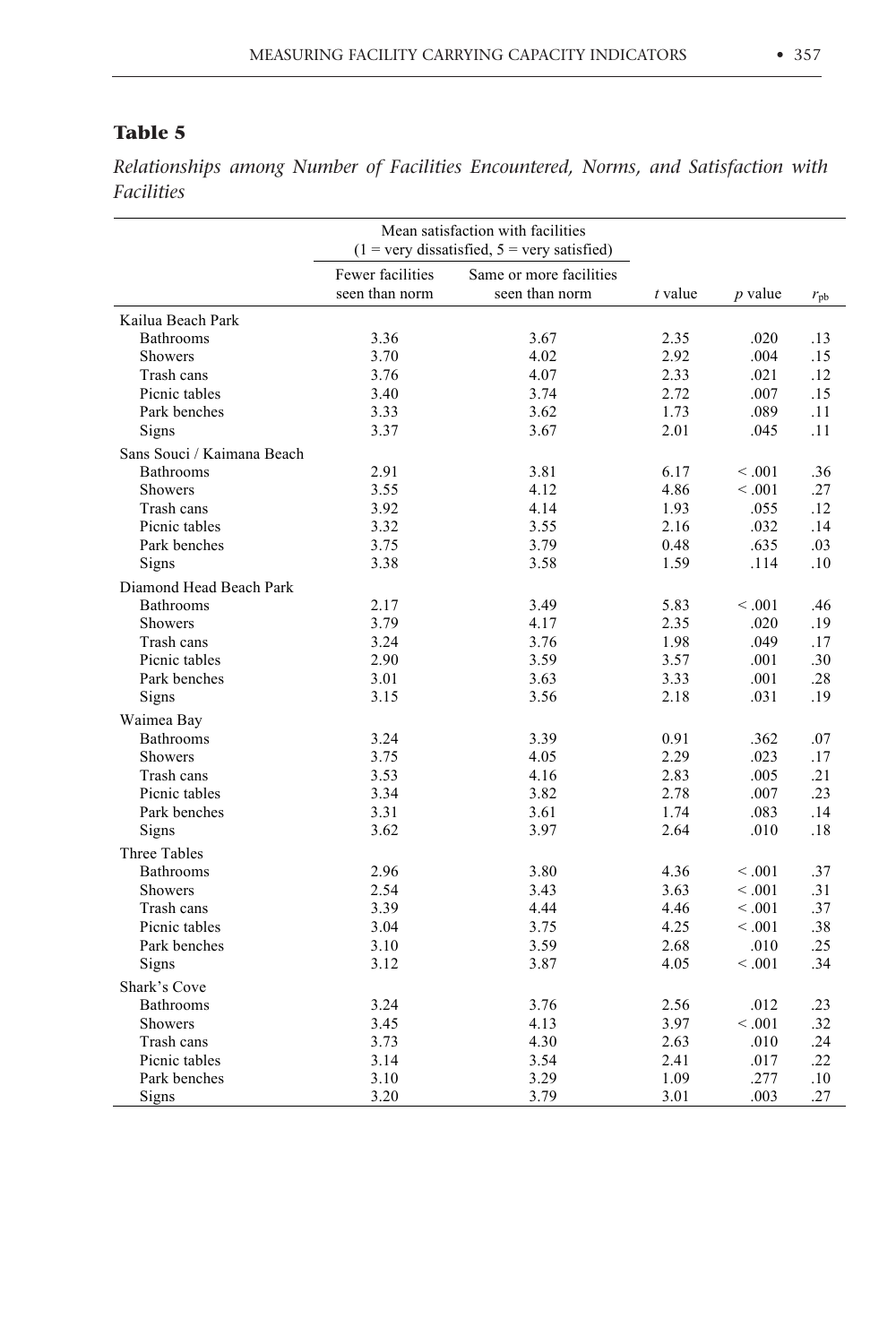*Relationships among Number of Facilities Encountered, Norms, and Satisfaction with Facilities*

|                            | Mean satisfaction with facilities<br>$(1 = \text{very dissatisfied}, 5 = \text{very satisfied})$ |                                           |           |           |              |
|----------------------------|--------------------------------------------------------------------------------------------------|-------------------------------------------|-----------|-----------|--------------|
|                            | Fewer facilities<br>seen than norm                                                               | Same or more facilities<br>seen than norm | $t$ value | $p$ value | $r_{\rm pb}$ |
| Kailua Beach Park          |                                                                                                  |                                           |           |           |              |
| Bathrooms                  | 3.36                                                                                             | 3.67                                      | 2.35      | .020      | .13          |
| Showers                    | 3.70                                                                                             | 4.02                                      | 2.92      | .004      | .15          |
| Trash cans                 | 3.76                                                                                             | 4.07                                      | 2.33      | .021      | .12          |
| Picnic tables              | 3.40                                                                                             | 3.74                                      | 2.72      | .007      | .15          |
| Park benches               | 3.33                                                                                             | 3.62                                      | 1.73      | .089      | .11          |
| Signs                      | 3.37                                                                                             | 3.67                                      | 2.01      | .045      | .11          |
| Sans Souci / Kaimana Beach |                                                                                                  |                                           |           |           |              |
| <b>Bathrooms</b>           | 2.91                                                                                             | 3.81                                      | 6.17      | < 0.001   | .36          |
| Showers                    | 3.55                                                                                             | 4.12                                      | 4.86      | < 0.001   | .27          |
| Trash cans                 | 3.92                                                                                             | 4.14                                      | 1.93      | .055      | .12          |
| Picnic tables              | 3.32                                                                                             | 3.55                                      | 2.16      | .032      | .14          |
| Park benches               | 3.75                                                                                             | 3.79                                      | 0.48      | .635      | .03          |
| Signs                      | 3.38                                                                                             | 3.58                                      | 1.59      | .114      | .10          |
| Diamond Head Beach Park    |                                                                                                  |                                           |           |           |              |
| <b>Bathrooms</b>           | 2.17                                                                                             | 3.49                                      | 5.83      | < 0.01    | .46          |
| Showers                    | 3.79                                                                                             | 4.17                                      | 2.35      | .020      | .19          |
| Trash cans                 | 3.24                                                                                             | 3.76                                      | 1.98      | .049      | .17          |
| Picnic tables              | 2.90                                                                                             | 3.59                                      | 3.57      | .001      | .30          |
| Park benches               | 3.01                                                                                             | 3.63                                      | 3.33      | .001      | .28          |
| Signs                      | 3.15                                                                                             | 3.56                                      | 2.18      | .031      | .19          |
| Waimea Bay                 |                                                                                                  |                                           |           |           |              |
| Bathrooms                  | 3.24                                                                                             | 3.39                                      | 0.91      | .362      | .07          |
| Showers                    | 3.75                                                                                             | 4.05                                      | 2.29      | .023      | .17          |
| Trash cans                 | 3.53                                                                                             | 4.16                                      | 2.83      | .005      | .21          |
| Picnic tables              | 3.34                                                                                             | 3.82                                      | 2.78      | .007      | .23          |
| Park benches               | 3.31                                                                                             | 3.61                                      | 1.74      | .083      | .14          |
| Signs                      | 3.62                                                                                             | 3.97                                      | 2.64      | .010      | .18          |
| Three Tables               |                                                                                                  |                                           |           |           |              |
| <b>Bathrooms</b>           | 2.96                                                                                             | 3.80                                      | 4.36      | < 0.001   | .37          |
| Showers                    | 2.54                                                                                             | 3.43                                      | 3.63      | < 0.001   | .31          |
| Trash cans                 | 3.39                                                                                             | 4.44                                      | 4.46      | < 0.001   | .37          |
| Picnic tables              | 3.04                                                                                             | 3.75                                      | 4.25      | < 0.001   | .38          |
| Park benches               | 3.10                                                                                             | 3.59                                      | 2.68      | .010      | .25          |
| Signs                      | 3.12                                                                                             | 3.87                                      | 4.05      | < 0.001   | .34          |
| Shark's Cove               |                                                                                                  |                                           |           |           |              |
| <b>Bathrooms</b>           | 3.24                                                                                             | 3.76                                      | 2.56      | .012      | .23          |
| Showers                    | 3.45                                                                                             | 4.13                                      | 3.97      | < 0.001   | .32          |
| Trash cans                 | 3.73                                                                                             | 4.30                                      | 2.63      | .010      | .24          |
| Picnic tables              | 3.14                                                                                             | 3.54                                      | 2.41      | .017      | .22          |
| Park benches               | 3.10                                                                                             | 3.29                                      | 1.09      | .277      | .10          |
| Signs                      | 3.20                                                                                             | 3.79                                      | 3.01      | .003      | .27          |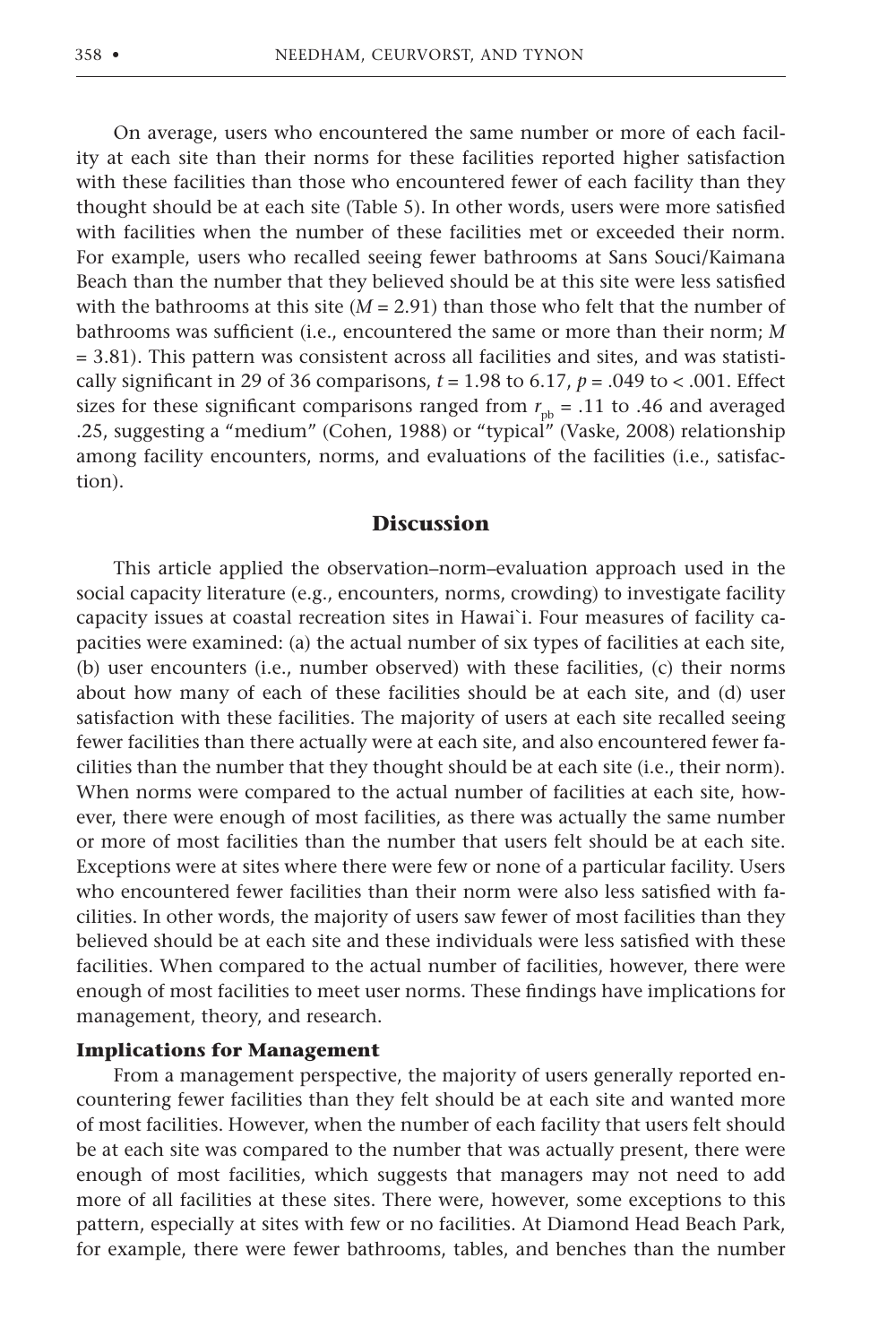On average, users who encountered the same number or more of each facility at each site than their norms for these facilities reported higher satisfaction with these facilities than those who encountered fewer of each facility than they thought should be at each site (Table 5). In other words, users were more satisfied with facilities when the number of these facilities met or exceeded their norm. For example, users who recalled seeing fewer bathrooms at Sans Souci/Kaimana Beach than the number that they believed should be at this site were less satisfied with the bathrooms at this site  $(M = 2.91)$  than those who felt that the number of bathrooms was sufficient (i.e., encountered the same or more than their norm; *M*  $= 3.81$ ). This pattern was consistent across all facilities and sites, and was statistically significant in 29 of 36 comparisons,  $t = 1.98$  to  $6.17$ ,  $p = .049$  to  $< .001$ . Effect sizes for these significant comparisons ranged from  $r_{\text{ph}} = .11$  to .46 and averaged .25, suggesting a "medium" (Cohen, 1988) or "typical" (Vaske, 2008) relationship among facility encounters, norms, and evaluations of the facilities (i.e., satisfaction).

### **Discussion**

This article applied the observation–norm–evaluation approach used in the social capacity literature (e.g., encounters, norms, crowding) to investigate facility capacity issues at coastal recreation sites in Hawai`i. Four measures of facility capacities were examined: (a) the actual number of six types of facilities at each site, (b) user encounters (i.e., number observed) with these facilities, (c) their norms about how many of each of these facilities should be at each site, and (d) user satisfaction with these facilities. The majority of users at each site recalled seeing fewer facilities than there actually were at each site, and also encountered fewer facilities than the number that they thought should be at each site (i.e., their norm). When norms were compared to the actual number of facilities at each site, however, there were enough of most facilities, as there was actually the same number or more of most facilities than the number that users felt should be at each site. Exceptions were at sites where there were few or none of a particular facility. Users who encountered fewer facilities than their norm were also less satisfied with facilities. In other words, the majority of users saw fewer of most facilities than they believed should be at each site and these individuals were less satisfied with these facilities. When compared to the actual number of facilities, however, there were enough of most facilities to meet user norms. These findings have implications for management, theory, and research.

#### **Implications for Management**

From a management perspective, the majority of users generally reported encountering fewer facilities than they felt should be at each site and wanted more of most facilities. However, when the number of each facility that users felt should be at each site was compared to the number that was actually present, there were enough of most facilities, which suggests that managers may not need to add more of all facilities at these sites. There were, however, some exceptions to this pattern, especially at sites with few or no facilities. At Diamond Head Beach Park, for example, there were fewer bathrooms, tables, and benches than the number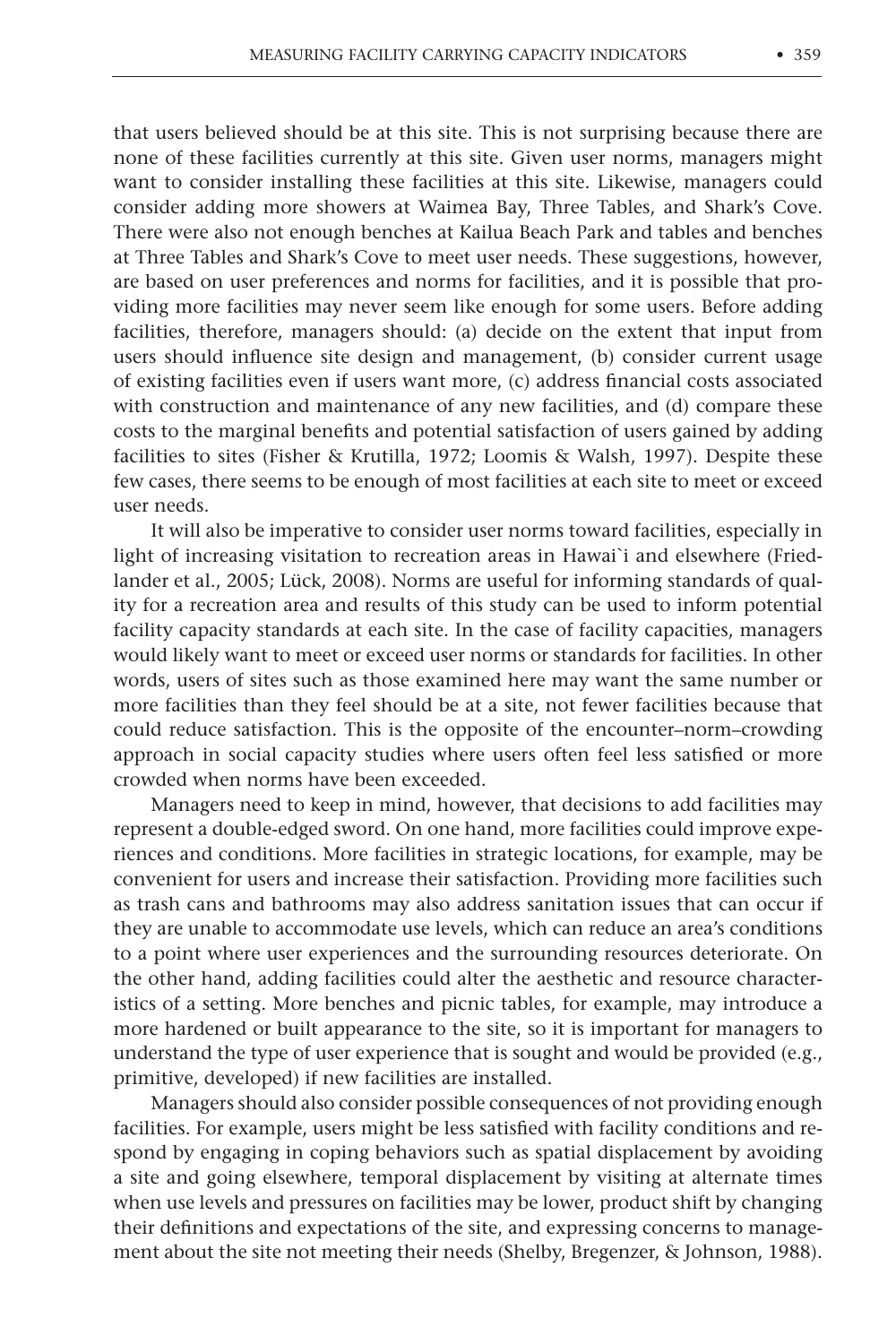that users believed should be at this site. This is not surprising because there are none of these facilities currently at this site. Given user norms, managers might want to consider installing these facilities at this site. Likewise, managers could consider adding more showers at Waimea Bay, Three Tables, and Shark's Cove. There were also not enough benches at Kailua Beach Park and tables and benches at Three Tables and Shark's Cove to meet user needs. These suggestions, however, are based on user preferences and norms for facilities, and it is possible that providing more facilities may never seem like enough for some users. Before adding facilities, therefore, managers should: (a) decide on the extent that input from users should influence site design and management, (b) consider current usage of existing facilities even if users want more, (c) address financial costs associated with construction and maintenance of any new facilities, and (d) compare these costs to the marginal benefits and potential satisfaction of users gained by adding facilities to sites (Fisher & Krutilla, 1972; Loomis & Walsh, 1997). Despite these few cases, there seems to be enough of most facilities at each site to meet or exceed user needs.

It will also be imperative to consider user norms toward facilities, especially in light of increasing visitation to recreation areas in Hawai`i and elsewhere (Friedlander et al., 2005; Lück, 2008). Norms are useful for informing standards of quality for a recreation area and results of this study can be used to inform potential facility capacity standards at each site. In the case of facility capacities, managers would likely want to meet or exceed user norms or standards for facilities. In other words, users of sites such as those examined here may want the same number or more facilities than they feel should be at a site, not fewer facilities because that could reduce satisfaction. This is the opposite of the encounter–norm–crowding approach in social capacity studies where users often feel less satisfied or more crowded when norms have been exceeded.

Managers need to keep in mind, however, that decisions to add facilities may represent a double-edged sword. On one hand, more facilities could improve experiences and conditions. More facilities in strategic locations, for example, may be convenient for users and increase their satisfaction. Providing more facilities such as trash cans and bathrooms may also address sanitation issues that can occur if they are unable to accommodate use levels, which can reduce an area's conditions to a point where user experiences and the surrounding resources deteriorate. On the other hand, adding facilities could alter the aesthetic and resource characteristics of a setting. More benches and picnic tables, for example, may introduce a more hardened or built appearance to the site, so it is important for managers to understand the type of user experience that is sought and would be provided (e.g., primitive, developed) if new facilities are installed.

Managers should also consider possible consequences of not providing enough facilities. For example, users might be less satisfied with facility conditions and respond by engaging in coping behaviors such as spatial displacement by avoiding a site and going elsewhere, temporal displacement by visiting at alternate times when use levels and pressures on facilities may be lower, product shift by changing their definitions and expectations of the site, and expressing concerns to management about the site not meeting their needs (Shelby, Bregenzer, & Johnson, 1988).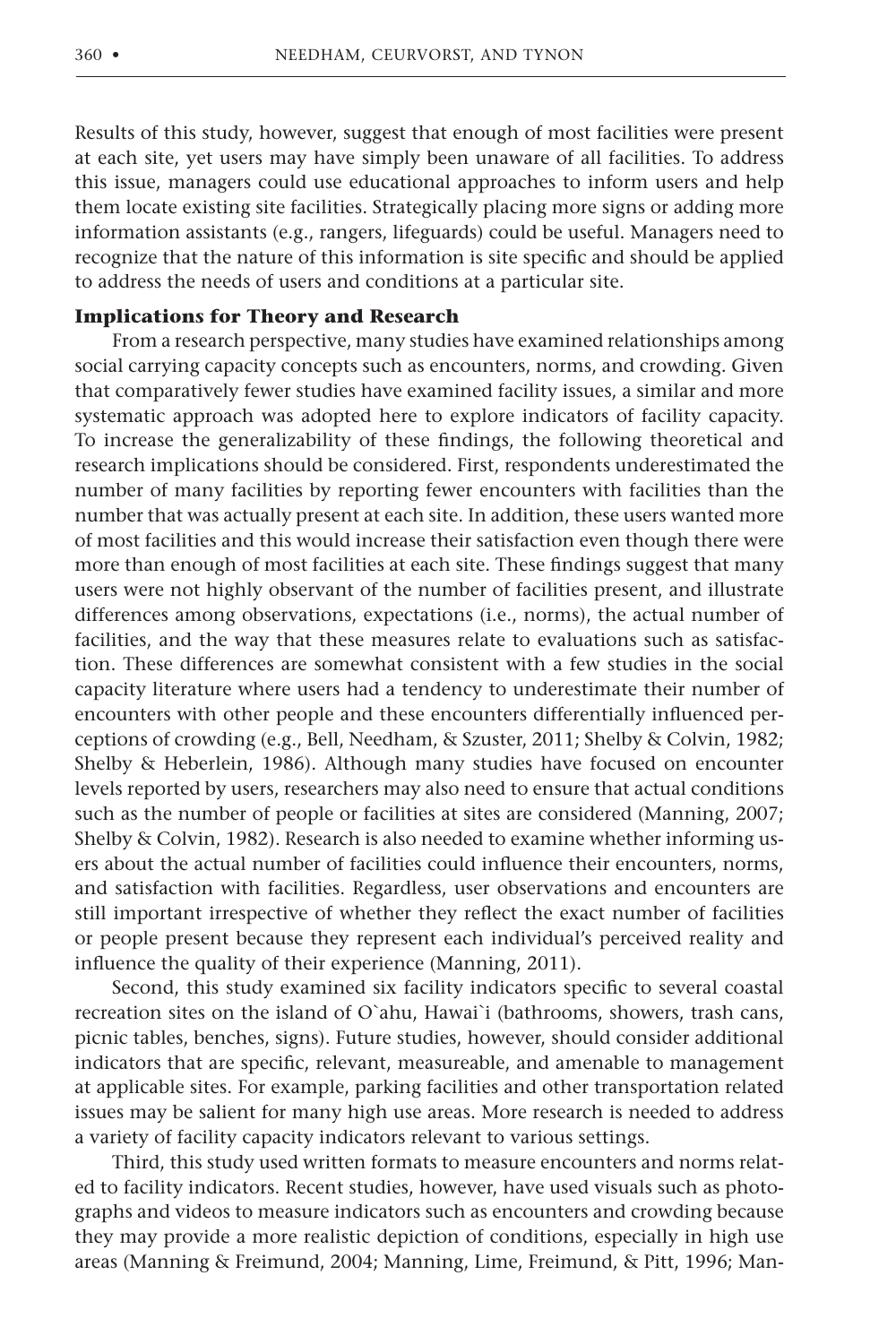Results of this study, however, suggest that enough of most facilities were present at each site, yet users may have simply been unaware of all facilities. To address this issue, managers could use educational approaches to inform users and help them locate existing site facilities. Strategically placing more signs or adding more information assistants (e.g., rangers, lifeguards) could be useful. Managers need to recognize that the nature of this information is site specific and should be applied to address the needs of users and conditions at a particular site.

### **Implications for Theory and Research**

From a research perspective, many studies have examined relationships among social carrying capacity concepts such as encounters, norms, and crowding. Given that comparatively fewer studies have examined facility issues, a similar and more systematic approach was adopted here to explore indicators of facility capacity. To increase the generalizability of these findings, the following theoretical and research implications should be considered. First, respondents underestimated the number of many facilities by reporting fewer encounters with facilities than the number that was actually present at each site. In addition, these users wanted more of most facilities and this would increase their satisfaction even though there were more than enough of most facilities at each site. These findings suggest that many users were not highly observant of the number of facilities present, and illustrate differences among observations, expectations (i.e., norms), the actual number of facilities, and the way that these measures relate to evaluations such as satisfaction. These differences are somewhat consistent with a few studies in the social capacity literature where users had a tendency to underestimate their number of encounters with other people and these encounters differentially influenced perceptions of crowding (e.g., Bell, Needham, & Szuster, 2011; Shelby & Colvin, 1982; Shelby & Heberlein, 1986). Although many studies have focused on encounter levels reported by users, researchers may also need to ensure that actual conditions such as the number of people or facilities at sites are considered (Manning, 2007; Shelby & Colvin, 1982). Research is also needed to examine whether informing users about the actual number of facilities could influence their encounters, norms, and satisfaction with facilities. Regardless, user observations and encounters are still important irrespective of whether they reflect the exact number of facilities or people present because they represent each individual's perceived reality and influence the quality of their experience (Manning, 2011).

Second, this study examined six facility indicators specific to several coastal recreation sites on the island of O`ahu, Hawai`i (bathrooms, showers, trash cans, picnic tables, benches, signs). Future studies, however, should consider additional indicators that are specific, relevant, measureable, and amenable to management at applicable sites. For example, parking facilities and other transportation related issues may be salient for many high use areas. More research is needed to address a variety of facility capacity indicators relevant to various settings.

Third, this study used written formats to measure encounters and norms related to facility indicators. Recent studies, however, have used visuals such as photographs and videos to measure indicators such as encounters and crowding because they may provide a more realistic depiction of conditions, especially in high use areas (Manning & Freimund, 2004; Manning, Lime, Freimund, & Pitt, 1996; Man-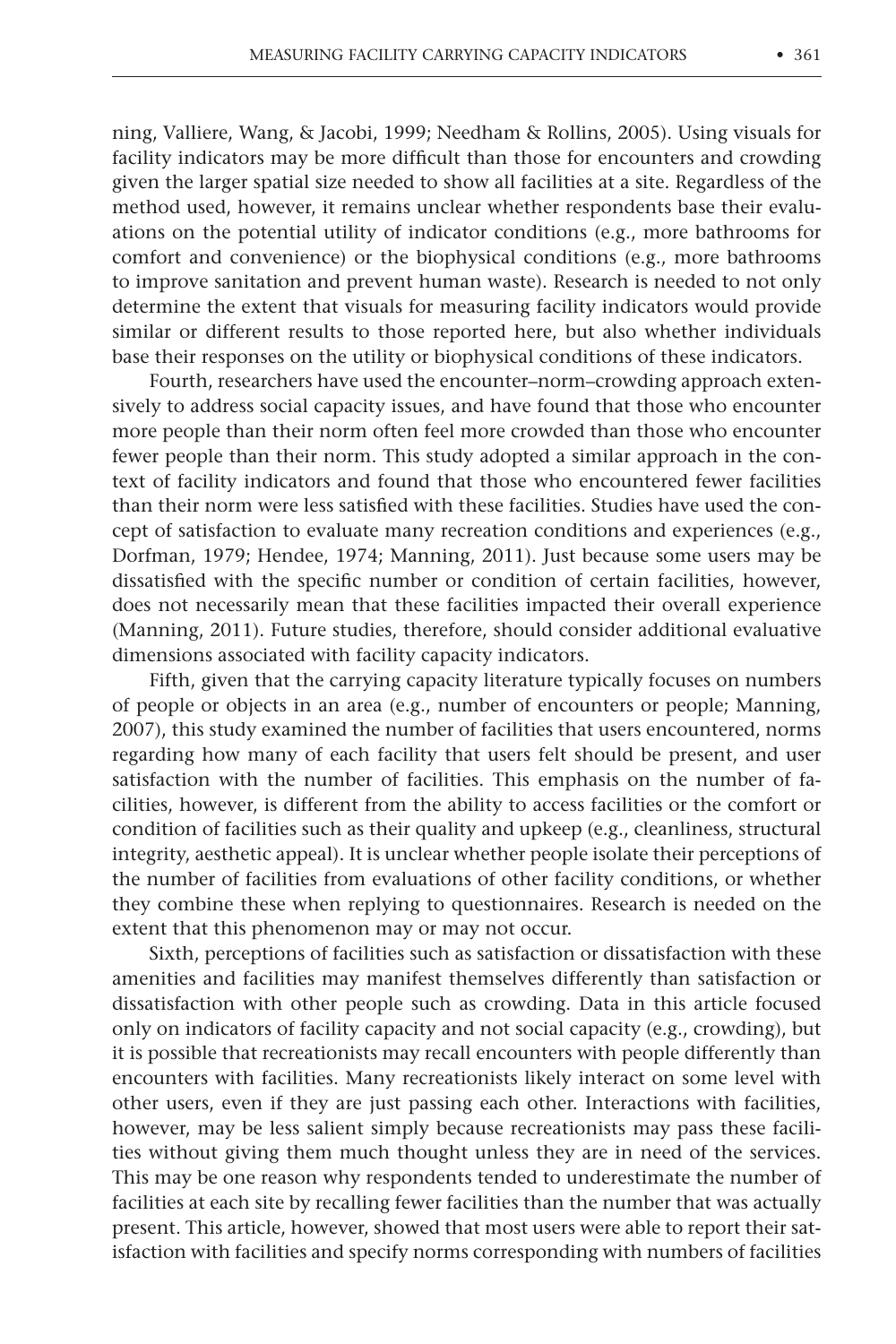ning, Valliere, Wang, & Jacobi, 1999; Needham & Rollins, 2005). Using visuals for facility indicators may be more difficult than those for encounters and crowding given the larger spatial size needed to show all facilities at a site. Regardless of the method used, however, it remains unclear whether respondents base their evaluations on the potential utility of indicator conditions (e.g., more bathrooms for comfort and convenience) or the biophysical conditions (e.g., more bathrooms to improve sanitation and prevent human waste). Research is needed to not only determine the extent that visuals for measuring facility indicators would provide similar or different results to those reported here, but also whether individuals base their responses on the utility or biophysical conditions of these indicators.

Fourth, researchers have used the encounter–norm–crowding approach extensively to address social capacity issues, and have found that those who encounter more people than their norm often feel more crowded than those who encounter fewer people than their norm. This study adopted a similar approach in the context of facility indicators and found that those who encountered fewer facilities than their norm were less satisfied with these facilities. Studies have used the concept of satisfaction to evaluate many recreation conditions and experiences (e.g., Dorfman, 1979; Hendee, 1974; Manning, 2011). Just because some users may be dissatisfied with the specific number or condition of certain facilities, however, does not necessarily mean that these facilities impacted their overall experience (Manning, 2011). Future studies, therefore, should consider additional evaluative dimensions associated with facility capacity indicators.

Fifth, given that the carrying capacity literature typically focuses on numbers of people or objects in an area (e.g., number of encounters or people; Manning, 2007), this study examined the number of facilities that users encountered, norms regarding how many of each facility that users felt should be present, and user satisfaction with the number of facilities. This emphasis on the number of facilities, however, is different from the ability to access facilities or the comfort or condition of facilities such as their quality and upkeep (e.g., cleanliness, structural integrity, aesthetic appeal). It is unclear whether people isolate their perceptions of the number of facilities from evaluations of other facility conditions, or whether they combine these when replying to questionnaires. Research is needed on the extent that this phenomenon may or may not occur.

Sixth, perceptions of facilities such as satisfaction or dissatisfaction with these amenities and facilities may manifest themselves differently than satisfaction or dissatisfaction with other people such as crowding. Data in this article focused only on indicators of facility capacity and not social capacity (e.g., crowding), but it is possible that recreationists may recall encounters with people differently than encounters with facilities. Many recreationists likely interact on some level with other users, even if they are just passing each other. Interactions with facilities, however, may be less salient simply because recreationists may pass these facilities without giving them much thought unless they are in need of the services. This may be one reason why respondents tended to underestimate the number of facilities at each site by recalling fewer facilities than the number that was actually present. This article, however, showed that most users were able to report their satisfaction with facilities and specify norms corresponding with numbers of facilities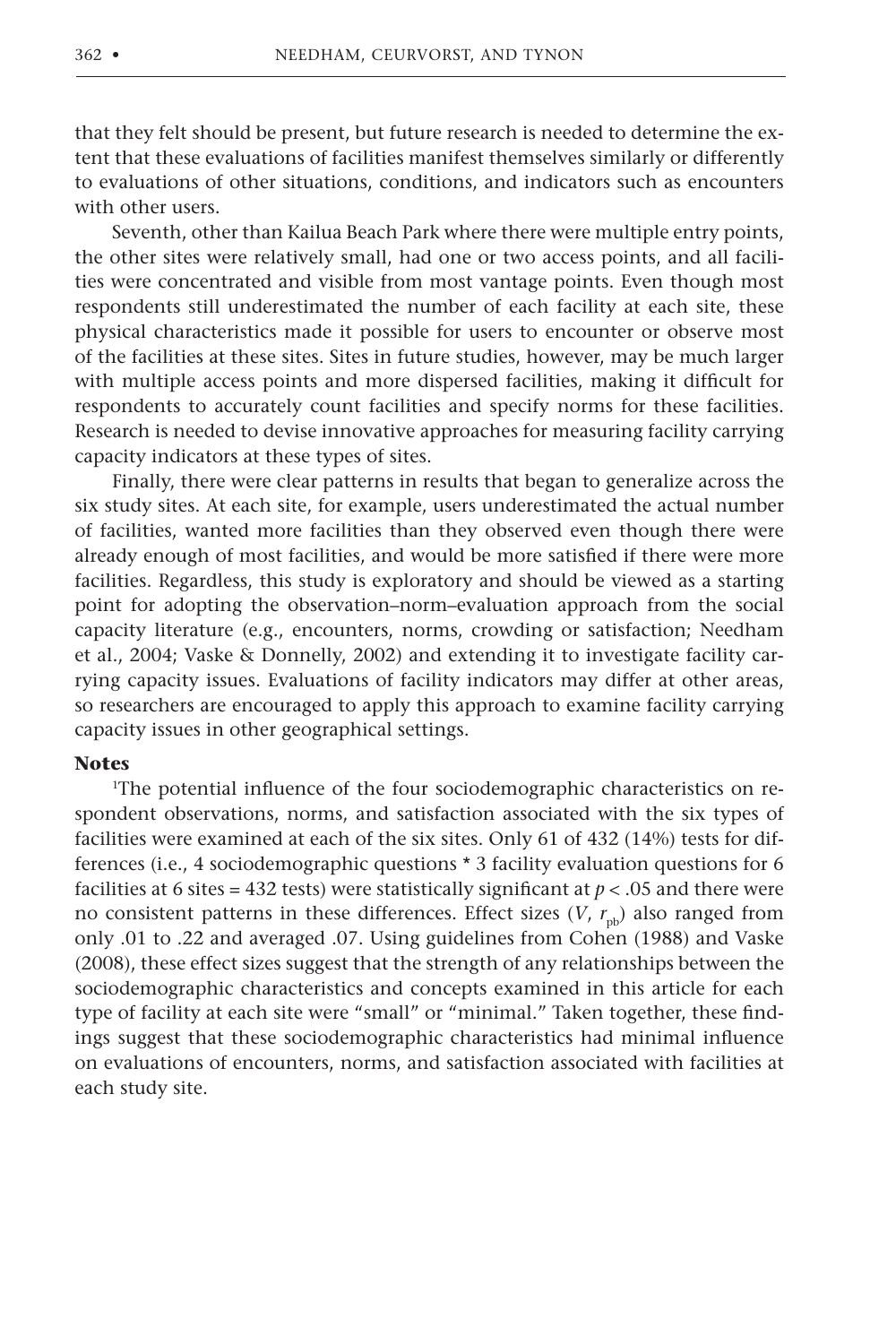that they felt should be present, but future research is needed to determine the extent that these evaluations of facilities manifest themselves similarly or differently to evaluations of other situations, conditions, and indicators such as encounters with other users.

Seventh, other than Kailua Beach Park where there were multiple entry points, the other sites were relatively small, had one or two access points, and all facilities were concentrated and visible from most vantage points. Even though most respondents still underestimated the number of each facility at each site, these physical characteristics made it possible for users to encounter or observe most of the facilities at these sites. Sites in future studies, however, may be much larger with multiple access points and more dispersed facilities, making it difficult for respondents to accurately count facilities and specify norms for these facilities. Research is needed to devise innovative approaches for measuring facility carrying capacity indicators at these types of sites.

Finally, there were clear patterns in results that began to generalize across the six study sites. At each site, for example, users underestimated the actual number of facilities, wanted more facilities than they observed even though there were already enough of most facilities, and would be more satisfied if there were more facilities. Regardless, this study is exploratory and should be viewed as a starting point for adopting the observation–norm–evaluation approach from the social capacity literature (e.g., encounters, norms, crowding or satisfaction; Needham et al., 2004; Vaske & Donnelly, 2002) and extending it to investigate facility carrying capacity issues. Evaluations of facility indicators may differ at other areas, so researchers are encouraged to apply this approach to examine facility carrying capacity issues in other geographical settings.

### **Notes**

<sup>1</sup>The potential influence of the four sociodemographic characteristics on respondent observations, norms, and satisfaction associated with the six types of facilities were examined at each of the six sites. Only 61 of 432 (14%) tests for differences (i.e., 4 sociodemographic questions \* 3 facility evaluation questions for 6 facilities at 6 sites =  $432$  tests) were statistically significant at  $p < .05$  and there were no consistent patterns in these differences. Effect sizes  $(V, r_{\text{nb}})$  also ranged from only .01 to .22 and averaged .07. Using guidelines from Cohen (1988) and Vaske (2008), these effect sizes suggest that the strength of any relationships between the sociodemographic characteristics and concepts examined in this article for each type of facility at each site were "small" or "minimal." Taken together, these findings suggest that these sociodemographic characteristics had minimal influence on evaluations of encounters, norms, and satisfaction associated with facilities at each study site.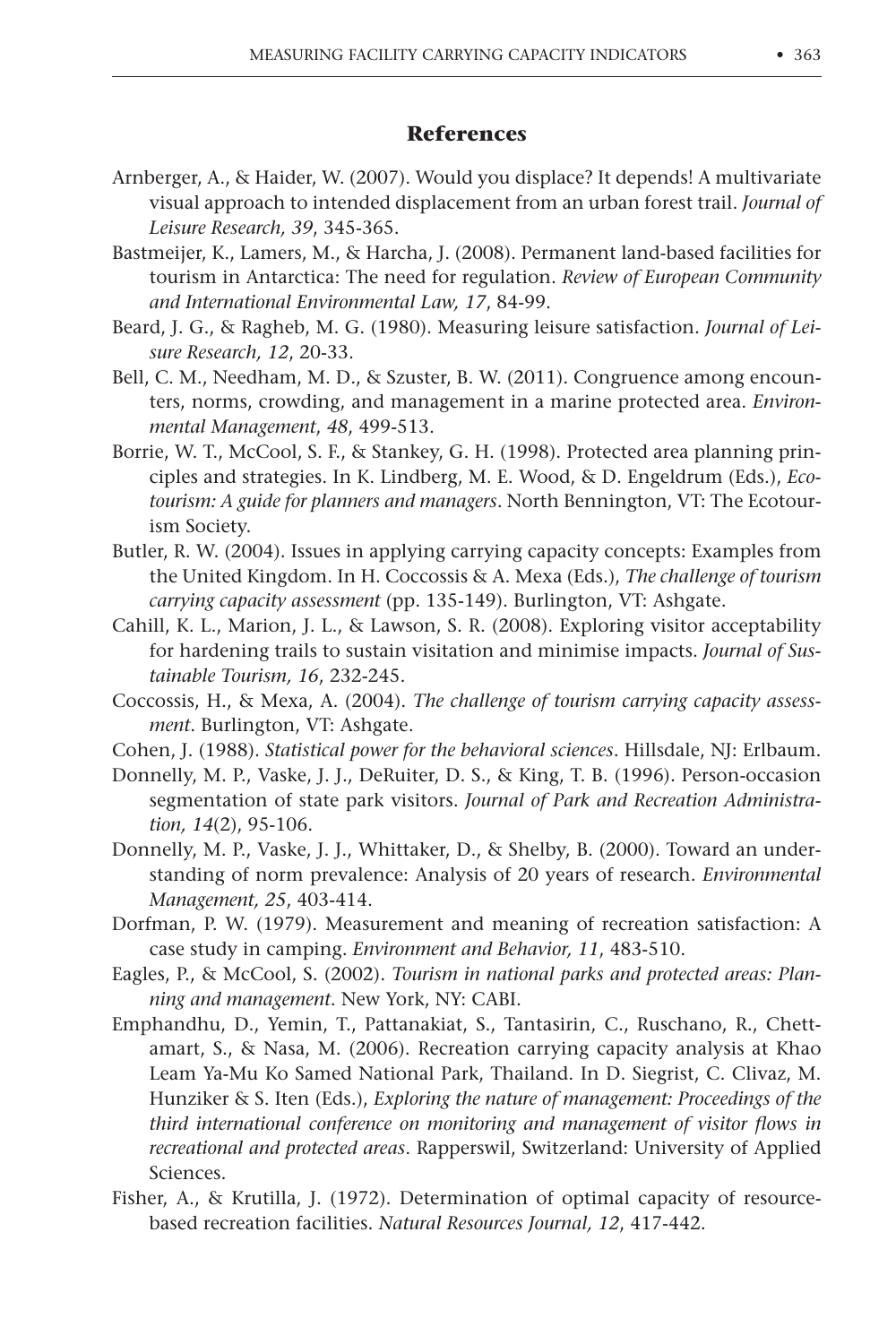### **References**

- Arnberger, A., & Haider, W. (2007). Would you displace? It depends! A multivariate visual approach to intended displacement from an urban forest trail. *Journal of Leisure Research, 39*, 345-365.
- Bastmeijer, K., Lamers, M., & Harcha, J. (2008). Permanent land-based facilities for tourism in Antarctica: The need for regulation. *Review of European Community and International Environmental Law, 17*, 84-99.
- Beard, J. G., & Ragheb, M. G. (1980). Measuring leisure satisfaction. *Journal of Leisure Research, 12*, 20-33.
- Bell, C. M., Needham, M. D., & Szuster, B. W. (2011). Congruence among encounters, norms, crowding, and management in a marine protected area. *Environmental Management*, *48*, 499-513.
- Borrie, W. T., McCool, S. F., & Stankey, G. H. (1998). Protected area planning principles and strategies. In K. Lindberg, M. E. Wood, & D. Engeldrum (Eds.), *Ecotourism: A guide for planners and managers*. North Bennington, VT: The Ecotourism Society.
- Butler, R. W. (2004). Issues in applying carrying capacity concepts: Examples from the United Kingdom. In H. Coccossis & A. Mexa (Eds.), *The challenge of tourism carrying capacity assessment* (pp. 135-149). Burlington, VT: Ashgate.
- Cahill, K. L., Marion, J. L., & Lawson, S. R. (2008). Exploring visitor acceptability for hardening trails to sustain visitation and minimise impacts. *Journal of Sustainable Tourism, 16*, 232-245.
- Coccossis, H., & Mexa, A. (2004). *The challenge of tourism carrying capacity assessment*. Burlington, VT: Ashgate.
- Cohen, J. (1988). *Statistical power for the behavioral sciences*. Hillsdale, NJ: Erlbaum.
- Donnelly, M. P., Vaske, J. J., DeRuiter, D. S., & King, T. B. (1996). Person-occasion segmentation of state park visitors. *Journal of Park and Recreation Administration, 14*(2), 95-106.
- Donnelly, M. P., Vaske, J. J., Whittaker, D., & Shelby, B. (2000). Toward an understanding of norm prevalence: Analysis of 20 years of research. *Environmental Management, 25*, 403-414.
- Dorfman, P. W. (1979). Measurement and meaning of recreation satisfaction: A case study in camping. *Environment and Behavior, 11*, 483-510.
- Eagles, P., & McCool, S. (2002). *Tourism in national parks and protected areas: Planning and management*. New York, NY: CABI.
- Emphandhu, D., Yemin, T., Pattanakiat, S., Tantasirin, C., Ruschano, R., Chettamart, S., & Nasa, M. (2006). Recreation carrying capacity analysis at Khao Leam Ya-Mu Ko Samed National Park, Thailand. In D. Siegrist, C. Clivaz, M. Hunziker & S. Iten (Eds.), *Exploring the nature of management: Proceedings of the third international conference on monitoring and management of visitor flows in recreational and protected areas*. Rapperswil, Switzerland: University of Applied Sciences.
- Fisher, A., & Krutilla, J. (1972). Determination of optimal capacity of resourcebased recreation facilities. *Natural Resources Journal, 12*, 417-442.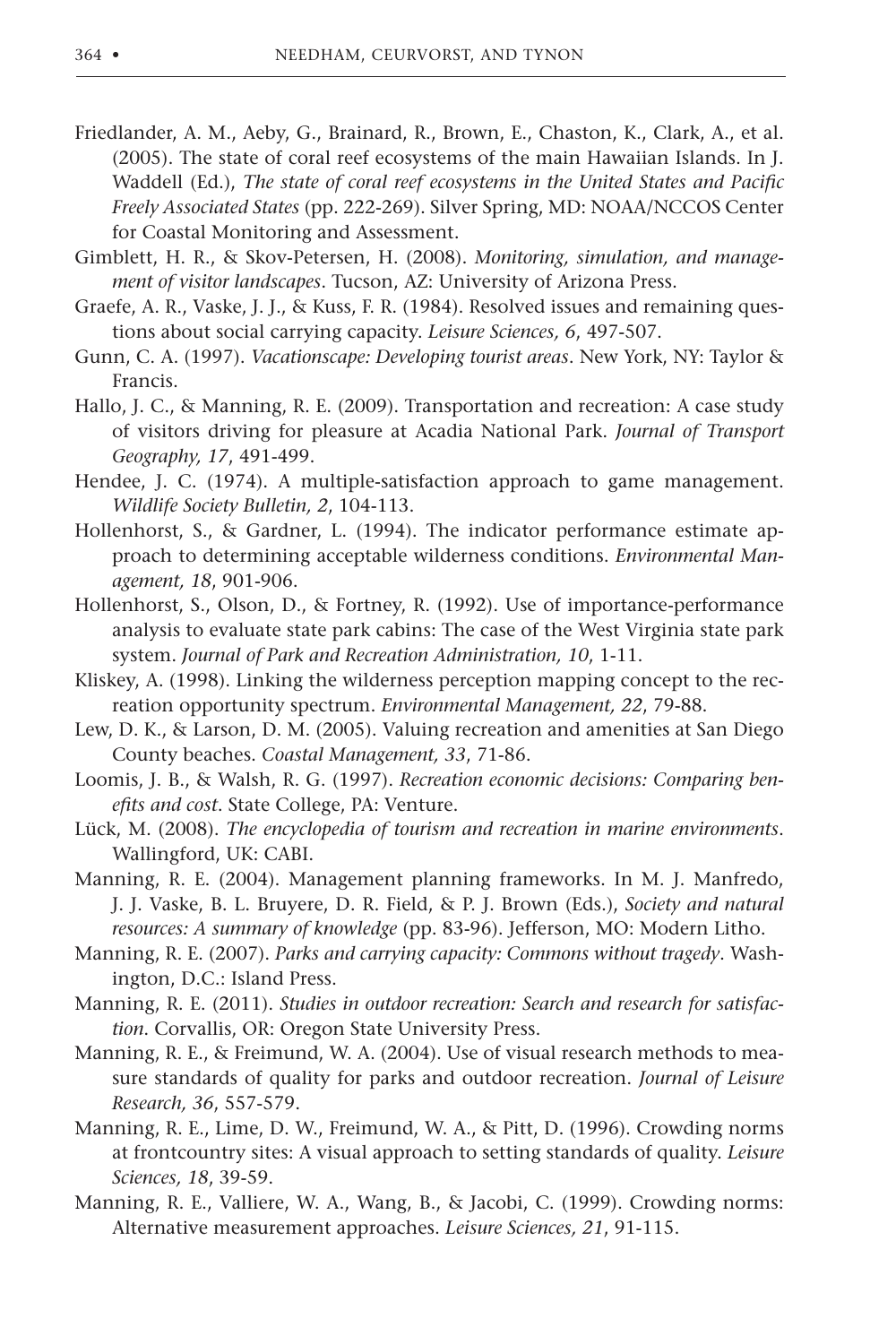- Friedlander, A. M., Aeby, G., Brainard, R., Brown, E., Chaston, K., Clark, A., et al. (2005). The state of coral reef ecosystems of the main Hawaiian Islands. In J. Waddell (Ed.), The state of coral reef ecosystems in the United States and Pacific Freely Associated States (pp. 222-269). Silver Spring, MD: NOAA/NCCOS Center for Coastal Monitoring and Assessment.
- Gimblett, H. R., & Skov-Petersen, H. (2008). Monitoring, simulation, and management of visitor landscapes. Tucson, AZ: University of Arizona Press.
- Graefe, A. R., Vaske, J. J., & Kuss, F. R. (1984). Resolved issues and remaining questions about social carrying capacity. Leisure Sciences, 6, 497-507.
- Gunn, C. A. (1997). Vacationscape: Developing tourist areas. New York, NY: Taylor & Francis.
- Hallo, J. C., & Manning, R. E. (2009). Transportation and recreation: A case study of visitors driving for pleasure at Acadia National Park. Journal of Transport Geography, 17, 491-499.
- Hendee, J. C. (1974). A multiple-satisfaction approach to game management. Wildlife Society Bulletin, 2, 104-113.
- Hollenhorst, S., & Gardner, L. (1994). The indicator performance estimate approach to determining acceptable wilderness conditions. Environmental Management, 18, 901-906.
- Hollenhorst, S., Olson, D., & Fortney, R. (1992). Use of importance-performance analysis to evaluate state park cabins: The case of the West Virginia state park system. Journal of Park and Recreation Administration, 10, 1-11.
- Kliskey, A. (1998). Linking the wilderness perception mapping concept to the recreation opportunity spectrum. Environmental Management, 22, 79-88.
- Lew, D. K., & Larson, D. M. (2005). Valuing recreation and amenities at San Diego County beaches. Coastal Management, 33, 71-86.
- Loomis, J. B., & Walsh, R. G. (1997). Recreation economic decisions: Comparing benefits and cost. State College, PA: Venture.
- Lück, M. (2008). The encyclopedia of tourism and recreation in marine environments. Wallingford, UK: CABI.
- Manning, R. E. (2004). Management planning frameworks. In M. J. Manfredo, J. J. Vaske, B. L. Bruyere, D. R. Field, & P. J. Brown (Eds.), Society and natural resources: A summary of knowledge (pp. 83-96). Jefferson, MO: Modern Litho.
- Manning, R. E. (2007). Parks and carrying capacity: Commons without tragedy. Washington, D.C.: Island Press.
- Manning, R. E. (2011). Studies in outdoor recreation: Search and research for satisfaction. Corvallis, OR: Oregon State University Press.
- Manning, R. E., & Freimund, W. A. (2004). Use of visual research methods to measure standards of quality for parks and outdoor recreation. Journal of Leisure Research, 36, 557-579.
- Manning, R. E., Lime, D. W., Freimund, W. A., & Pitt, D. (1996). Crowding norms at frontcountry sites: A visual approach to setting standards of quality. Leisure Sciences, 18, 39-59.
- Manning, R. E., Valliere, W. A., Wang, B., & Jacobi, C. (1999). Crowding norms: Alternative measurement approaches. Leisure Sciences, 21, 91-115.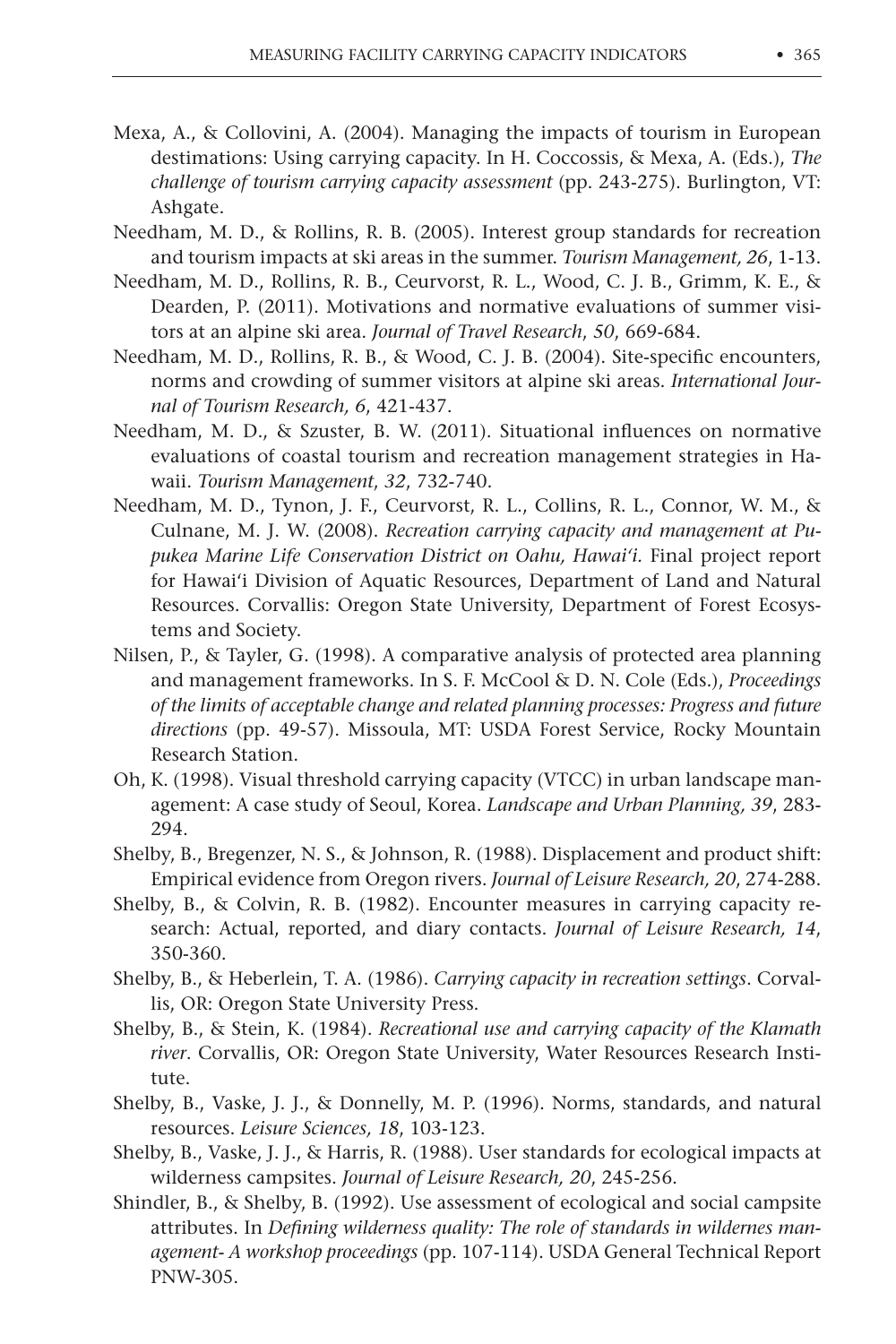- Mexa, A., & Collovini, A. (2004). Managing the impacts of tourism in European destimations: Using carrying capacity. In H. Coccossis, & Mexa, A. (Eds.), *The challenge of tourism carrying capacity assessment* (pp. 243-275). Burlington, VT: Ashgate.
- Needham, M. D., & Rollins, R. B. (2005). Interest group standards for recreation and tourism impacts at ski areas in the summer. *Tourism Management, 26*, 1-13.
- Needham, M. D., Rollins, R. B., Ceurvorst, R. L*.*, Wood, C. J. B., Grimm, K. E., & Dearden, P. (2011). Motivations and normative evaluations of summer visitors at an alpine ski area. *Journal of Travel Research*, *50*, 669-684.
- Needham, M. D., Rollins, R. B., & Wood, C. J. B. (2004). Site-specific encounters, norms and crowding of summer visitors at alpine ski areas. *International Journal of Tourism Research, 6*, 421-437.
- Needham, M. D., & Szuster, B. W. (2011). Situational influences on normative evaluations of coastal tourism and recreation management strategies in Hawaii. *Tourism Management*, *32*, 732-740.
- Needham, M. D., Tynon, J. F., Ceurvorst, R. L., Collins, R. L., Connor, W. M., & Culnane, M. J. W. (2008). *Recreation carrying capacity and management at Pupukea Marine Life Conservation District on Oahu, Hawai'i.* Final project report for Hawai'i Division of Aquatic Resources, Department of Land and Natural Resources. Corvallis: Oregon State University, Department of Forest Ecosystems and Society.
- Nilsen, P., & Tayler, G. (1998). A comparative analysis of protected area planning and management frameworks. In S. F. McCool & D. N. Cole (Eds.), *Proceedings of the limits of acceptable change and related planning processes: Progress and future directions* (pp. 49-57). Missoula, MT: USDA Forest Service, Rocky Mountain Research Station.
- Oh, K. (1998). Visual threshold carrying capacity (VTCC) in urban landscape management: A case study of Seoul, Korea. *Landscape and Urban Planning, 39*, 283- 294.
- Shelby, B., Bregenzer, N. S., & Johnson, R. (1988). Displacement and product shift: Empirical evidence from Oregon rivers. *Journal of Leisure Research, 20*, 274-288.
- Shelby, B., & Colvin, R. B. (1982). Encounter measures in carrying capacity research: Actual, reported, and diary contacts. *Journal of Leisure Research, 14*, 350-360.
- Shelby, B., & Heberlein, T. A. (1986). *Carrying capacity in recreation settings*. Corvallis, OR: Oregon State University Press.
- Shelby, B., & Stein, K. (1984). *Recreational use and carrying capacity of the Klamath river*. Corvallis, OR: Oregon State University, Water Resources Research Institute.
- Shelby, B., Vaske, J. J., & Donnelly, M. P. (1996). Norms, standards, and natural resources. *Leisure Sciences, 18*, 103-123.
- Shelby, B., Vaske, J. J., & Harris, R. (1988). User standards for ecological impacts at wilderness campsites. *Journal of Leisure Research, 20*, 245-256.
- Shindler, B., & Shelby, B. (1992). Use assessment of ecological and social campsite attributes. In *Defining wilderness quality: The role of standards in wildernes management- A workshop proceedings* (pp. 107-114). USDA General Technical Report PNW-305.